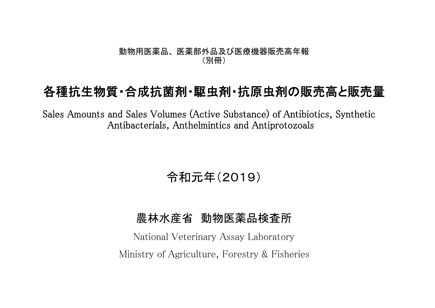#### 動物用医薬品、 医薬部外品及び医療機器販売高年報 (別冊)

## 各種抗生物質・合成抗菌剤・駆虫剤・抗原虫剤の販売高と販売量

Sales Amounts and Sales Volumes (Active Substance) of Antibiotics, Synthetic Antibacterials, Anthelmintics and Antiprotozoals

# 令和元年(2019)

### 農林水産省 動物医薬品検査所

National Veterinary Assay Laboratory Ministry of Agriculture, Forestry & Fisheries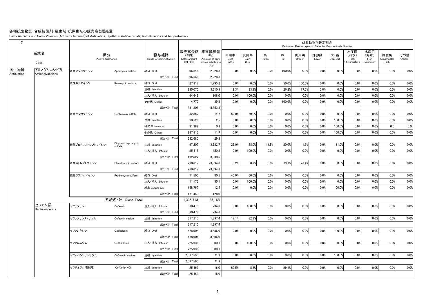#### 各種抗生物質・合成抗菌剤・駆虫剤・抗原虫剤の販売高と販売量

Sales Amounts and Sales Volumes (Active Substance) of Antibiotics, Synthetic Antibacterials, Anthelmintics and Antiprotozoals

| R1                  |                         |                        |                                |                                 |                                  |                                                                   |                       |                     |            |          |                       | 対象動物別推定割合    | Estimated Percentages of Sales for Each Animals Species |                                   |                                   |                           |               |
|---------------------|-------------------------|------------------------|--------------------------------|---------------------------------|----------------------------------|-------------------------------------------------------------------|-----------------------|---------------------|------------|----------|-----------------------|--------------|---------------------------------------------------------|-----------------------------------|-----------------------------------|---------------------------|---------------|
|                     | 系統名<br>Class            | 区分<br>Active substance |                                | 投与経路<br>Route of administration | (千円)<br>Sales amount<br>(41,000) | 販売高金額 原末換算量<br>(Kg)<br>Amount of pure<br>active substance<br>(Kg) | 肉用牛<br>Beef<br>Cattle | 乳用牛<br>Dairy<br>Cow | 馬<br>Horse | 豚<br>Pig | 肉用鶏<br><b>Broiler</b> | 採卵鶏<br>Layer | 犬・猫<br>Dog/Cat                                          | 水産用<br>(淡水)<br>Fish<br>Freshwater | 水産用<br>(海水)<br>Fish<br>(Seawater) | 観賞魚<br>Ornamental<br>Fish | その他<br>Others |
| 抗生物質<br>Antibiotics | アミノグリコシド系               | 硫酸アプラマイシン              | Apramycin sulfate              | 経口 Oral                         | 96.546                           | 2.228.8                                                           | 0.0%                  | 0.0%                | 0.0%       | 100.0%   | 0.0%                  | 0.0%         | 0.0%                                                    | 0.0%                              | 0.0%                              | 0.0%                      | 0.0%          |
|                     | Aminoglycosides         |                        |                                | 成分·計 Total                      | 96.546                           | 2,228.8                                                           |                       |                     |            |          |                       |              |                                                         |                                   |                                   |                           |               |
|                     |                         | 硫酸カナマイシン               | Kanamycin sulfate              | 経口 Oral                         | 27,317                           | 1,795.2                                                           | 0.0%                  | 0.0%                | 0.0%       | 50.0%    | 50.0%                 | 0.0%         | 0.0%                                                    | 0.0%                              | 0.0%                              | 0.0%                      | 0.0%          |
|                     |                         |                        |                                | 注射 Injection                    | 235.070                          | 3,610.9                                                           | 19.3%                 | 33.9%               | 0.0%       | 26.2%    | 17.7%                 | 3.0%         | 0.0%                                                    | 0.0%                              | 0.0%                              | 0.0%                      | 0.0%          |
|                     |                         |                        |                                | 注入·挿入 Infusion                  | 64,649                           | 108.0                                                             | 0.0%                  | 100.0%              | 0.0%       | 0.0%     | 0.0%                  | 0.0%         | 0.0%                                                    | 0.0%                              | 0.0%                              | 0.0%                      | 0.0%          |
|                     |                         |                        |                                | その他 Others                      | 4,772                            | 39.8                                                              | 0.0%                  | 0.0%                | 0.0%       | 100.0%   | 0.0%                  | 0.0%         | 0.0%                                                    | 0.0%                              | 0.0%                              | 0.0%                      | 0.0%          |
|                     |                         |                        |                                | 成分·計 Total                      | 331.808                          | 5,553.8                                                           |                       |                     |            |          |                       |              |                                                         |                                   |                                   |                           |               |
|                     |                         | 硫酸ゲンタマイシン              | Gentamicin sulfate             | 経口 Oral                         | 52,857                           | 14.7                                                              | 50.0%                 | 50.0%               | 0.0%       | 0.0%     | 0.0%                  | 0.0%         | 0.0%                                                    | 0.0%                              | 0.0%                              | 0.0%                      | 0.0%          |
|                     |                         |                        |                                | 注射 Injection                    | 10,528                           | 2.5                                                               | 0.0%                  | 0.0%                | 0.0%       | 0.0%     | 0.0%                  | 0.0%         | 100.0%                                                  | 0.0%                              | 0.0%                              | 0.0%                      | 0.0%          |
|                     |                         |                        |                                | 経皮 Cutaneous                    | 31.982                           | 0.3                                                               | 0.0%                  | 0.0%                | 0.0%       | 0.0%     | 0.0%                  | 0.0%         | 100.0%                                                  | 0.0%                              | 0.0%                              | 0.0                       | 0.0           |
|                     |                         |                        |                                | その他 Others                      | 237.313                          | 11.7                                                              | 0.0%                  | 0.0%                | 0.0%       | 0.0%     | 0.0%                  | 0.0%         | 100.0%                                                  | 0.0%                              | 0.0%                              | 0.0%                      | 0.0%          |
|                     |                         |                        |                                | 成分·計 Total                      | 332,680                          | 29.3                                                              |                       |                     |            |          |                       |              |                                                         |                                   |                                   |                           |               |
|                     |                         | 硫酸ジヒドロストレプトマイシン        | Dihydrostreptomycin<br>sulfate | 注射 Injection                    | 97.207                           | 3,382.7                                                           | 28.0%                 | 28.0%               | 11.5%      | 20.0%    | 1.5%                  | 0.0%         | 11.0%                                                   | 0.0%                              | 0.0%                              | 0.0%                      | 0.0%          |
|                     |                         |                        |                                | 注入·挿入 Infusion                  | 95.415                           | 450.8                                                             | 0.0%                  | 100.0%              | 0.0%       | 0.0%     | 0.0%                  | 0.0%         | 0.0%                                                    | 0.0%                              | 0.0%                              | 0.0%                      | 0.0%          |
|                     |                         |                        |                                | 成分·計 Total                      | 192,622                          | 3,833.5                                                           |                       |                     |            |          |                       |              |                                                         |                                   |                                   |                           |               |
|                     |                         | 硫酸ストレプトマイシン            | Streptomycin sulfate           | 経口 Oral                         | 210,617                          | 23,394.8                                                          | 0.2%                  | 0.2%                | 0.0%       | 73.1%    | 26.4%                 | 0.0%         | 0.0%                                                    | 0.0%                              | 0.0%                              | 0.0%                      | 0.0%          |
|                     |                         |                        |                                | 成分·計 Total                      | 210,617                          | 23,394.8                                                          |                       |                     |            |          |                       |              |                                                         |                                   |                                   |                           |               |
|                     |                         | 硫酸フラジオマイシン             | Fradiomycin sulfate            | 経口 Oral                         | 11,500                           | 80.5                                                              | 40.0%                 | 60.0%               | 0.0%       | 0.0%     | 0.0%                  | 0.0%         | 0.0%                                                    | 0.0%                              | 0.0%                              | 0.0%                      | 0.0%          |
|                     |                         |                        |                                | 注入·挿入 Infusion                  | 11,173                           | 35.1                                                              | 0.0%                  | 100.0%              | 0.0%       | 0.0%     | 0.0%                  | 0.0%         | 0.0%                                                    | 0.0%                              | 0.0%                              | 0.0%                      | 0.0%          |
|                     |                         |                        |                                | 経皮 Cutaneous                    | 148,767                          | 12.4                                                              | 0.0%                  | 0.0%                | 0.0%       | 0.0%     | 0.0%                  | 0.0%         | 100.0%                                                  | 0.0%                              | 0.0%                              | 0.0%                      | 0.0%          |
|                     |                         |                        |                                | 成分·計 Total                      | 171.440                          | 128.0                                                             |                       |                     |            |          |                       |              |                                                         |                                   |                                   |                           |               |
|                     |                         |                        | 系統名·計 Class Total              |                                 | 1.335.713                        | 35,168                                                            |                       |                     |            |          |                       |              |                                                         |                                   |                                   |                           |               |
|                     | セフェム系<br>Cephalosporins | セファゾリン                 | Cefazolin                      | 注入·挿入 Infusion                  | 570.478                          | 734.6                                                             | 0.0%                  | 100.0%              | 0.0%       | 0.0%     | 0.0%                  | 0.0%         | 0.0%                                                    | 0.0%                              | 0.0%                              | 0.0%                      | 0.0%          |
|                     |                         |                        |                                | 成分·計 Total                      | 570.478                          | 734.6                                                             |                       |                     |            |          |                       |              |                                                         |                                   |                                   |                           |               |
|                     |                         | セファゾリンナトリウム            | Cefazolin sodium               | 注射 Injection                    | 317,215                          | 1,897.4                                                           | 17.1%                 | 82.9%               | 0.0%       | 0.0%     | 0.0%                  | 0.0%         | 0.0%                                                    | 0.0%                              | 0.0%                              | 0.0%                      | 0.0%          |
|                     |                         |                        |                                | 成分·計 Total                      | 317,215                          | 1,897.4                                                           |                       |                     |            |          |                       |              |                                                         |                                   |                                   |                           |               |
|                     |                         | セファレキシン                | Cephalexin                     | 経口 Oral                         | 478,904                          | 3,686.0                                                           | 0.0%                  | 0.0%                | 0.0%       | 0.0%     | 0.0%                  | 0.0%         | 100.0%                                                  | 0.0%                              | 0.0%                              | 0.0%                      | 0.0%          |
|                     |                         |                        |                                | 成分·計 Total                      | 478,904                          | 3,686.0                                                           |                       |                     |            |          |                       |              |                                                         |                                   |                                   |                           |               |
|                     |                         | セファロニウム                | Cephalonium                    | 注入·挿入 Infusion                  | 225,936                          | 300.1                                                             | 0.0%                  | 100.0%              | 0.0%       | 0.0%     | 0.0%                  | 0.0%         | 0.0%                                                    | 0.0%                              | 0.0%                              | 0.0%                      | 0.0%          |
|                     |                         |                        |                                | 成分·計 Total                      | 225,936                          | 300.1                                                             |                       |                     |            |          |                       |              |                                                         |                                   |                                   |                           |               |
|                     |                         | セフォベシンナトリウム            | Cefovecin sodium               | 注射 Injection                    | 2.077.596                        | 71.9                                                              | 0.0%                  | 0.0%                | 0.0%       | 0.0%     | 0.0%                  | 0.0%         | 100.0%                                                  | 0.0%                              | 0.0%                              | 0.0%                      | 0.0%          |
|                     |                         |                        |                                | 成分·計 Total                      | 2,077,596                        | 71.9                                                              |                       |                     |            |          |                       |              |                                                         |                                   |                                   |                           |               |
|                     |                         | セフチオフル塩酸塩              | Ceftiofur HCI                  | 注射 Injection                    | 25,463                           | 16.0                                                              | 62.5%                 | 8.4%                | 0.0%       | 29.1%    | 0.0%                  | 0.0%         | 0.0%                                                    | 0.0%                              | 0.0%                              | 0.0%                      | 0.0%          |
|                     |                         |                        |                                | 成分·計 Total                      | 25.463                           | 16.0                                                              |                       |                     |            |          |                       |              |                                                         |                                   |                                   |                           |               |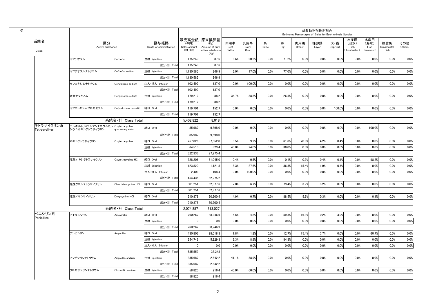|                            |                                                     |                       |                                 |                                    |                                                                     |                       |                     |            |          | Estimated Percentages of Sales for Each Animals Species | 対象動物別推定割合    |                                    |                                   |                                   |                           |               |
|----------------------------|-----------------------------------------------------|-----------------------|---------------------------------|------------------------------------|---------------------------------------------------------------------|-----------------------|---------------------|------------|----------|---------------------------------------------------------|--------------|------------------------------------|-----------------------------------|-----------------------------------|---------------------------|---------------|
| 系統名<br>Class               | 区分<br>Active substance                              |                       | 投与経路<br>Route of administration | (千円)<br>Sales amount<br>$(*1,000)$ | 販売高金額   原末換算量<br>(Kg)<br>Amount of pure<br>active substance<br>(Kg) | 肉用牛<br>Beef<br>Cattle | 乳用牛<br>Dairy<br>Cow | 馬<br>Horse | 豚<br>Pig | 肉用鶏<br>Broiler                                          | 採卵鶏<br>Layer | 犬・猫<br>$\mathsf{Dog}/\mathsf{Cat}$ | 水産用<br>(淡水)<br>Fish<br>Freshwater | 水産用<br>(海水)<br>Fish<br>(Seawater) | 観賞魚<br>Ornamental<br>Fish | その他<br>Others |
|                            | セフチオフル                                              | Ceftiofur             | 注射 Injection                    | 175,240                            | 87.6                                                                | 8.6%                  | 20.2%               | 0.0%       | 71.2%    | 0.0%                                                    | 0.0%         | 0.0%                               | 0.0%                              | 0.0%                              | 0.0%                      | 0.0%          |
|                            |                                                     |                       | 成分·計 Total                      | 175.240                            | 87.6                                                                |                       |                     |            |          |                                                         |              |                                    |                                   |                                   |                           |               |
|                            | セフチオフルナトリウム                                         | Ceftiofur sodium      | 注射 Injection                    | 1.130.585                          | 846.9                                                               | 6.0%                  | 17.0%               | 0.0%       | 77.0%    | 0.0%                                                    | 0.0%         | 0.0%                               | 0.0%                              | 0.0%                              | 0.0%                      | 0.0%          |
|                            |                                                     |                       | 成分·計 Total                      | 1,130,585                          | 846.9                                                               |                       |                     |            |          |                                                         |              |                                    |                                   |                                   |                           |               |
|                            | セフロキシムナトリウム                                         | Cefuroxime sodium     | 注入·挿入 Infusion                  | 102,492                            | 137.0                                                               | 0.0%                  | 100.0%              | 0.0%       | 0.0%     | 0.0%                                                    | 0.0%         | 0.0%                               | 0.0%                              | 0.0%                              | 0.0%                      | 0.0%          |
|                            |                                                     |                       | 成分·計 Total                      | 102,492                            | 137.0                                                               |                       |                     |            |          |                                                         |              |                                    |                                   |                                   |                           |               |
|                            | 硫酸セフキノム                                             | Cefquinome sulfate    | 注射 Injection                    | 179,212                            | 88.2                                                                | 34.7%                 | 38.8%               | 0.0%       | 26.5%    | 0.0%                                                    | 0.0%         | 0.0%                               | 0.0%                              | 0.0%                              | 0.0%                      | 0.0%          |
|                            |                                                     |                       | 成分·計 Total                      | 179.212                            | 88.2                                                                |                       |                     |            |          |                                                         |              |                                    |                                   |                                   |                           |               |
|                            | セフポドキシムプロキセチル                                       | Cefpodoxime proxetil  | 経口 Oral                         | 119,701                            | 152.7                                                               | 0.0%                  | 0.0%                | 0.0%       | 0.0%     | 0.0%                                                    | 0.0%         | 100.0%                             | 0.0%                              | 0.0%                              | 0.0%                      | 0.0%          |
|                            |                                                     |                       | 成分·計 Total                      | 119,701                            | 152.7                                                               |                       |                     |            |          |                                                         |              |                                    |                                   |                                   |                           |               |
|                            |                                                     | 系統名·計 Class Total     |                                 | 5.402.822                          | 8.018                                                               |                       |                     |            |          |                                                         |              |                                    |                                   |                                   |                           |               |
| テトラサイクリン系<br>Tetracyclines | アルキルトリメチルアンモニウムカル Oxytetracycline<br>シウムオキシテトラサイクリン | quaternary salts      | 経口 Oral                         | 85,987                             | 9,598.0                                                             | 0.0%                  | 0.0%                | 0.0%       | 0.0%     | 0.0%                                                    | 0.0%         | 0.0%                               | 0.0%                              | 100.0%                            | 0.0%                      | 0.0%          |
|                            |                                                     |                       | 成分·計 Total                      | 85,987                             | 9,598.0                                                             |                       |                     |            |          |                                                         |              |                                    |                                   |                                   |                           |               |
|                            | オキシテトラサイクリン                                         | Oxytetracycline       | 経口 Oral                         | 257.826                            | 97.652.0                                                            | 3.5%                  | 9.2%                | 0.0%       | 61.8%    | 20.8%                                                   | 4.2%         | 0.4%                               | 0.0%                              | 0.0%                              | 0.0%                      | 0.0%          |
|                            |                                                     |                       | 注射 Injection                    | 64.510                             | 323.4                                                               | 40.0%                 | 24.0%               | 0.0%       | 36.0%    | 0.0%                                                    | 0.0%         | 0.0%                               | 0.0%                              | 0.0%                              | 0.0%                      | 0.0%          |
|                            |                                                     |                       | 成分·計 Total                      | 322,336                            | 97,975.4                                                            |                       |                     |            |          |                                                         |              |                                    |                                   |                                   |                           |               |
|                            | 塩酸オキシテトラサイクリン                                       | Oxytetracycline HCI   | 経口 Oral                         | 328,206                            | 61,045.0                                                            | 0.4%                  | 0.5%                | 0.0%       | 0.1%     | 0.3%                                                    | 0.4%         | 0.1%                               | 0.0%                              | 98.2%                             | 0.0%                      | 0.0%          |
|                            |                                                     |                       | 注射 Injection                    | 123.820                            | 1,121.8                                                             | 18.3%                 | 27.6%               | 0.0%       | 36.3%    | 15.4%                                                   | 1.9%         | 0.4%                               | 0.0%                              | 0.0%                              | 0.0%                      | 0.0%          |
|                            |                                                     |                       | 注入·挿入 Infusion                  | 2.409                              | 108.4                                                               | 0.0%                  | 100.0%              | 0.0%       | 0.0%     | 0.0%                                                    | 0.0%         | 0.0%                               | 0.0%                              | 0.0%                              | 0.0%                      | 0.0%          |
|                            |                                                     |                       | 成分·計 Total                      | 454,435                            | 62,275.2                                                            |                       |                     |            |          |                                                         |              |                                    |                                   |                                   |                           |               |
|                            | 塩酸クロルテトラサイクリン                                       | Chlortetracycline HCI | 経口 Oral                         | 301,251                            | 62,977.6                                                            | 7.0%                  | 6.7%                | 0.0%       | 79.4%    | 3.7%                                                    | 3.2%         | 0.0%                               | 0.0%                              | 0.0%                              | 0.0%                      | 0.0%          |
|                            |                                                     |                       | 成分·計 Total                      | 301.251                            | 62.977.6                                                            |                       |                     |            |          |                                                         |              |                                    |                                   |                                   |                           |               |
|                            | 塩酸ドキシサイクリン                                          | Doxycycline HCI       | 経口 Oral                         | 910.878                            | 80.200.4                                                            | 4.9%                  | 0.7%                | 0.0%       | 88.5%    | 5.6%                                                    | 0.3%         | 0.0%                               | 0.0%                              | 0.1%                              | 0.0%                      | 0.0%          |
|                            |                                                     |                       | 成分·計 Total                      | 910,878                            | 80,200.4                                                            |                       |                     |            |          |                                                         |              |                                    |                                   |                                   |                           |               |
|                            |                                                     | 系統名·計 Class Total     |                                 | 2,074,887                          | 313,027                                                             |                       |                     |            |          |                                                         |              |                                    |                                   |                                   |                           |               |
| ペニシリン系<br>Penicillins      | アモキシシリン                                             | Amoxicillin           | 経口 Oral                         | 760.267                            | 38.246.9                                                            | 5.5%                  | 4.8%                | 0.0%       | 59.3%    | 16.3%                                                   | 10.2%        | 3.9%                               | 0.0%                              | 0.0%                              | 0.0%                      | 0.0%          |
|                            |                                                     |                       | 注射 Injection                    | $\mathbf{0}$                       | 0.0                                                                 | 0.0%                  | 0.0%                | 0.0%       | 0.0%     | 0.0%                                                    | 0.0%         | 0.0%                               | 0.0%                              | 0.0%                              | 0.0%                      | 0.0%          |
|                            |                                                     |                       | 成分·計 Total                      | 760,267                            | 38.246.9                                                            |                       |                     |            |          |                                                         |              |                                    |                                   |                                   |                           |               |
|                            | アンピシリン                                              | Ampicillin            | 経口 Oral                         | 430,806                            | 28,018.3                                                            | 1.8%                  | 1.8%                | 0.0%       | 12.7%    | 15.4%                                                   | 7.7%         | 0.0%                               | 0.0%                              | 60.7%                             | 0.0%                      | 0.0%          |
|                            |                                                     |                       | 注射 Injection                    | 254.746                            | 5.229.3                                                             | 6.3%                  | 8.9%                | 0.0%       | 84.8%    | 0.0%                                                    | 0.0%         | 0.0%                               | 0.0%                              | 0.0%                              | 0.0%                      | 0.0%          |
|                            |                                                     |                       | 注入·挿入 Infusion                  | $\mathbf{0}$                       | 0.0                                                                 | 0.0%                  | 0.0%                | 0.0%       | 0.0%     | 0.0%                                                    | 0.0%         | 0.0%                               | 0.0%                              | 0.0%                              | 0.0%                      | 0.0%          |
|                            |                                                     |                       | 成分·計 Total                      | 685,552                            | 33,248                                                              |                       |                     |            |          |                                                         |              |                                    |                                   |                                   |                           |               |
|                            | アンピシリンナトリウム                                         | Ampicillin sodium     | 注射 Injection                    | 335,687                            | 2,642.2                                                             | 41.1%                 | 58.9%               | 0.0%       | 0.0%     | 0.0%                                                    | 0.0%         | 0.0%                               | 0.0%                              | 0.0%                              | 0.0%                      | 0.0%          |
|                            |                                                     |                       | 成分·計 Total                      | 335.687                            | 2.642.2                                                             |                       |                     |            |          |                                                         |              |                                    |                                   |                                   |                           |               |
|                            | クロキサシリンナトリウム                                        | Cloxacillin sodium    | 注射 Injection                    | 58.825                             | 216.4                                                               | 40.0%                 | 60.0%               | 0.0%       | 0.0%     | 0.0%                                                    | 0.0%         | 0.0%                               | 0.0%                              | 0.0%                              | 0.0%                      | 0.0%          |
|                            |                                                     |                       | 成分·計 Total                      | 58.825                             | 216.4                                                               |                       |                     |            |          |                                                         |              |                                    |                                   |                                   |                           |               |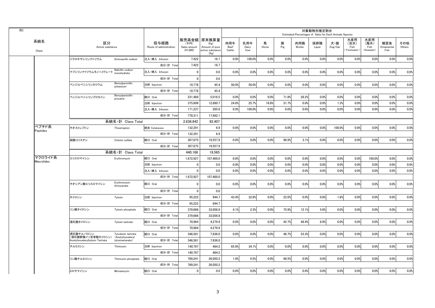|                   |                                  |                                          |                                 |                                    |                                                                   |                       |                     |            |          | Estimated Percentages of Sales for Each Animals Species | 対象動物別推定割合    |                |                                   |                                   |                           |               |
|-------------------|----------------------------------|------------------------------------------|---------------------------------|------------------------------------|-------------------------------------------------------------------|-----------------------|---------------------|------------|----------|---------------------------------------------------------|--------------|----------------|-----------------------------------|-----------------------------------|---------------------------|---------------|
| 系統名<br>Class      | 区分<br>Active substance           |                                          | 投与経路<br>Route of administration | (千円)<br>Sales amount<br>$(*1,000)$ | 販売高金額 原末換算量<br>(Kg)<br>Amount of pure<br>active substance<br>(Kg) | 肉用牛<br>Beef<br>Cattle | 乳用牛<br>Dairy<br>Cow | 馬<br>Horse | 豚<br>Pig | 肉用鶏<br>Broiler                                          | 採卵鶏<br>Layer | 犬・猫<br>Dog/Cat | 水産用<br>(淡水)<br>Fish<br>Freshwater | 水産用<br>(海水)<br>Fish<br>(Seawater) | 観賞魚<br>Ornamental<br>Fish | その他<br>Others |
|                   | ジクロキサシリンナトリウム                    | Dicloxacillin sodium                     | 注入·挿入 Infusion                  | 7,422                              | 16.7                                                              | 0.0%                  | 100.0%              | 0.0%       | 0.0%     | 0.0%                                                    | 0.0%         | 0.0%           | 0.0%                              | 0.0%                              | 0.0%                      | 0.0%          |
|                   |                                  |                                          | 成分·計 Total                      | 7,422                              | 16.7                                                              |                       |                     |            |          |                                                         |              |                |                                   |                                   |                           |               |
|                   | ナフシリンナトリウムモノハイドレート               | Nafcillin sodium<br>monohydrate          | 注入·挿入 Infusion                  | 0                                  | 0.0                                                               | 0.0%                  | 0.0%                | 0.0%       | 0.0%     | 0.0%                                                    | 0.0%         | 0.0%           | 0.0%                              | 0.0%                              | 0.0%                      | 0.0%          |
|                   |                                  |                                          | 成分·計 Total                      | $\mathbf 0$                        | 0.0                                                               |                       |                     |            |          |                                                         |              |                |                                   |                                   |                           |               |
|                   | ベンジルペニシリンカリウム                    | Benzylpenicillin<br>potassium            | 注射 Injection                    | 10,778                             | 45.4                                                              | 50.0%                 | 50.0%               | 0.0%       | 0.0%     | 0.0%                                                    | 0.0%         | 0.0%           | 0.0%                              | 0.0%                              | 0.0%                      | 0.0%          |
|                   |                                  |                                          | 成分·計 Total                      | 10,778                             | 45.4                                                              |                       |                     |            |          |                                                         |              |                |                                   |                                   |                           |               |
|                   | ベンジルペニシリンプロカイン                   | Benzylpenicillin<br>procaine             | 経口 Oral                         | 231,468                            | 5,016.5                                                           | 0.0%                  | 0.0%                | 0.0%       | 71.8%    | 28.2%                                                   | 0.0%         | 0.0%           | 0.0%                              | 0.0%                              | 0.0%                      | 0.0%          |
|                   |                                  |                                          | 注射 Injection                    | 375,606                            | 12,680.7                                                          | 24.6%                 | 25.7%               | 16.6%      | 31.7%    | 0.0%                                                    | 0.0%         | 1.3%           | 0.0%                              | 0.0%                              | 0.0%                      | 0.0%          |
|                   |                                  |                                          | 注入·挿入 Infusion                  | 171,237                            | 295.0                                                             | 0.0%                  | 100.0%              | 0.0%       | 0.0%     | 0.0%                                                    | 0.0%         | 0.0%           | 0.0%                              | 0.0%                              | 0.0%                      | 0.0%          |
|                   |                                  |                                          | 成分·計 Total                      | 778,311                            | 17,992.1                                                          |                       |                     |            |          |                                                         |              |                |                                   |                                   |                           |               |
|                   |                                  | 系統名·計 Class Total                        |                                 | 2,636,842                          | 92,407                                                            |                       |                     |            |          |                                                         |              |                |                                   |                                   |                           |               |
| ペプチド系<br>Peptides | チオストレプトン                         | Thiostrepton                             | 経皮 Cutaneous                    | 132,291                            | 6.9                                                               | 0.0%                  | 0.0%                | 0.0%       | 0.0%     | 0.0%                                                    | 0.0%         | 100.0%         | 0.0%                              | 0.0%                              | 0.0%                      | 0.0%          |
|                   |                                  |                                          | 成分·計 Total                      | 132,291                            | 6.9                                                               |                       |                     |            |          |                                                         |              |                |                                   |                                   |                           |               |
|                   | 硫酸コリスチン                          | Colistin sulfate                         | 経口 Oral                         | 307.875                            | 19.557.9                                                          | 0.0%                  | 0.0%                | 0.0%       | 96.9%    | 3.1%                                                    | 0.0%         | 0.0%           | 0.0%                              | 0.0%                              | 0.0%                      | 0.0%          |
|                   |                                  |                                          | 成分·計 Total                      | 307,875                            | 19,557.9                                                          |                       |                     |            |          |                                                         |              |                |                                   |                                   |                           |               |
|                   |                                  | 系統名·計 Class Total                        |                                 | 440.166                            | 19.565                                                            |                       |                     |            |          |                                                         |              |                |                                   |                                   |                           |               |
| マクロライド系           | エリスロマイシン                         | Erythromycin                             | 経口 Oral                         | 1,672,927                          | 107,400.0                                                         | 0.0%                  | 0.0%                | 0.0%       | 0.0%     | 0.0%                                                    | 0.0%         | 0.0%           | 0.0%                              | 100.0%                            | 0.0%                      | 0.0%          |
| Macrolides        |                                  |                                          | 注射 Injection                    | 0                                  | 0.0                                                               | 0.0%                  | 0.0%                | 0.0%       | 0.0%     | 0.0%                                                    | 0.0%         | 0.0%           | 0.0%                              | 0.0%                              | 0.0%                      | 0.0%          |
|                   |                                  |                                          | 注入·挿入 Infusion                  | $\mathbf 0$                        | 0.0                                                               | 0.0%                  | 0.0%                | 0.0%       | 0.0%     | 0.0%                                                    | 0.0%         | 0.0%           | 0.0%                              | 0.0%                              | 0.0%                      | 0.0%          |
|                   |                                  |                                          | 成分·計 Total                      | 1,672,927                          | 107,400.0                                                         |                       |                     |            |          |                                                         |              |                |                                   |                                   |                           |               |
|                   | チオシアン酸エリスロマイシン                   | Erythromycin<br>thiocyanate              | 経口 Oral                         | 0                                  | 0.0                                                               | 0.0%                  | 0.0%                | 0.0%       | 0.0%     | 0.0%                                                    | 0.0%         | 0.0%           | 0.0%                              | 0.0%                              | 0.0%                      | 0.0%          |
|                   |                                  |                                          | 成分·計 Total                      | $\mathbf 0$                        | 0.0                                                               |                       |                     |            |          |                                                         |              |                |                                   |                                   |                           |               |
|                   | タイロシン                            | Tylosin                                  | 注射 Injection                    | 95,222                             | 944.7                                                             | 43.4%                 | 32.8%               | 0.0%       | 22.0%    | 0.0%                                                    | 0.0%         | 1.8%           | 0.0%                              | 0.0%                              | 0.0%                      | 0.0%          |
|                   |                                  |                                          | 成分·計 Total                      | 95,222                             | 944.7                                                             |                       |                     |            |          |                                                         |              |                |                                   |                                   |                           |               |
|                   | リン酸タイロシン                         | Tylosin phosphate                        | 経口 Oral                         | 379,666                            | 33,056.8                                                          | 4.1%                  | 2.3%                | 0.0%       | 75.9%    | 12.1%                                                   | 5.6%         | 0.0%           | 0.0%                              | 0.0%                              | 0.0%                      | 0.0%          |
|                   |                                  |                                          | 成分·計 Total                      | 379,666                            | 33,056.8                                                          |                       |                     |            |          |                                                         |              |                |                                   |                                   |                           |               |
|                   | 酒石酸タイロシン                         | Tylosin tartrate                         | 経口 Oral                         | 70,964                             | 4,279.9                                                           | 0.0%                  | 0.0%                | 0.0%       | 42.7%    | 48.4%                                                   | 8.9%         | 0.0%           | 0.0%                              | 0.0%                              | 0.0%                      | 0.0%          |
|                   |                                  |                                          | 成分·計 Total                      | 70,964                             | 4,279.9                                                           |                       |                     |            |          |                                                         |              |                |                                   |                                   |                           |               |
|                   | 酒石酸チルバロシン<br>(酒石酸酢酸イソ吉草酸タイロシン)   | Tylvalosin tartrate<br>(Acetylisovaleryl | 経口 Oral                         | 346,581                            | 7,936.0                                                           | 0.0%                  | 0.0%                | 0.0%       | 46.7%    | 53.3%                                                   | 0.0%         | 0.0%           | 0.0%                              | 0.0%                              | 0.0%                      | 0.0%          |
|                   | Acetylisovaleryltylosin Tartrate | tylosinartarate)                         | 成分·計 Total                      | 346,581                            | 7,936.0                                                           |                       |                     |            |          |                                                         |              |                |                                   |                                   |                           |               |
|                   | チルミコシン                           | Tilmicosin                               | 注射 Injection                    | 140,797                            | 484.2                                                             | 65.9%                 | 34.1%               | 0.0%       | 0.0%     | 0.0%                                                    | 0.0%         | 0.0%           | 0.0%                              | 0.0%                              | 0.0%                      | 0.0%          |
|                   |                                  |                                          | 成分·計 Total                      | 140,797                            | 484.2                                                             |                       |                     |            |          |                                                         |              |                |                                   |                                   |                           |               |
|                   | リン酸チルミコシン                        | Tilmicosin phosphate                     | 経口 Oral                         | 769,241                            | 26,050.2                                                          | 1.0%                  | 0.5%                | 0.0%       | 98.5%    | 0.0%                                                    | 0.0%         | 0.0%           | 0.0%                              | 0.0%                              | 0.0%                      | 0.0%          |
|                   |                                  |                                          | 成分·計 Total                      | 769,241                            | 26,050.2                                                          |                       |                     |            |          |                                                         |              |                |                                   |                                   |                           |               |
|                   | ミロサマイシン                          | Mirosamycin                              | 経口 Oral                         | 0                                  | 0.0                                                               | 0.0%                  | 0.0%                | 0.0%       | 0.0%     | 0.0%                                                    | 0.0%         | 0.0%           | 0.0%                              | 0.0%                              | 0.0%                      | 0.0%          |
|                   |                                  |                                          |                                 |                                    |                                                                   |                       |                     |            |          |                                                         |              |                |                                   |                                   |                           |               |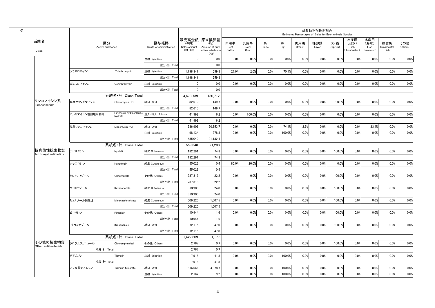|                                    |                        |                                                    |                                 |                                    |                                                                   |                       |                     |            |          |                | 対象動物別推定割合<br>Estimated Percentages of Sales for Each Animals Species |                |                                   |                                   |                           |               |
|------------------------------------|------------------------|----------------------------------------------------|---------------------------------|------------------------------------|-------------------------------------------------------------------|-----------------------|---------------------|------------|----------|----------------|----------------------------------------------------------------------|----------------|-----------------------------------|-----------------------------------|---------------------------|---------------|
| 系統名<br>Class                       | 区分<br>Active substance |                                                    | 投与経路<br>Route of administration | (千円)<br>Sales amount<br>$(*1,000)$ | 販売高金額 原末換算量<br>(Kg)<br>Amount of pure<br>active substance<br>(Kg) | 肉用牛<br>Beef<br>Cattle | 乳用牛<br>Dairy<br>Cow | 馬<br>Horse | 豚<br>Pig | 肉用鶏<br>Broiler | 採卵鶏<br>Layer                                                         | 犬・猫<br>Dog/Cat | 水産用<br>(淡水)<br>Fish<br>Freshwater | 水産用<br>(海水)<br>Fish<br>(Seawater) | 観賞魚<br>Ornamental<br>Fish | その他<br>Others |
|                                    |                        |                                                    | 注射 Injection                    | $\mathbf 0$                        | 0.0                                                               | 0.0%                  | 0.0%                | 0.0%       | 0.0%     | 0.0%           | 0.0%                                                                 | 0.0%           | 0.0%                              | 0.0%                              | 0.0%                      | 0.0%          |
|                                    |                        |                                                    | 成分·計 Total                      | $\Omega$                           | 0.0                                                               |                       |                     |            |          |                |                                                                      |                |                                   |                                   |                           |               |
|                                    | ツラスロマイシン               | Tulathromycin                                      | 注射 Injection                    | 1,198,341                          | 559.8                                                             | 27.9%                 | 2.0%                | 0.0%       | 70.1%    | 0.0%           | 0.0%                                                                 | 0.0%           | 0.0%                              | 0.0%                              | 0.0%                      | 0.0%          |
|                                    |                        |                                                    | 成分·計 Total                      | 1,198,341                          | 559.8                                                             |                       |                     |            |          |                |                                                                      |                |                                   |                                   |                           |               |
|                                    | ガミスロマイシン               | Gamithromycin                                      | 注射 Injection                    | $\Omega$                           | 0.0                                                               | 0.0%                  | 0.0%                | 0.0%       | 0.0%     | 0.0%           | 0.0%                                                                 | 0.0%           | 0.0%                              | 0.0%                              | 0.0%                      | 0.0%          |
|                                    |                        |                                                    | 成分·計 Total                      | $\mathbf 0$                        | 0.0                                                               |                       |                     |            |          |                |                                                                      |                |                                   |                                   |                           |               |
|                                    |                        | 系統名·計 Class Total                                  |                                 | 4.673.739                          | 180.712                                                           |                       |                     |            |          |                |                                                                      |                |                                   |                                   |                           |               |
| リンコマイシン系<br>Lincosaminids          | 塩酸クリンダマイシン             | Clindarnvcin HCI                                   | 経口 Oral                         | 82,610                             | 149.7                                                             | 0.0%                  | 0.0%                | 0.0%       | 0.0%     | 0.0%           | 0.0%                                                                 | 100.0%         | 0.0%                              | 0.0%                              | 0.0%                      | 0.0%          |
|                                    |                        |                                                    | 成分·計 Total                      | 82,610                             | 149.7                                                             |                       |                     |            |          |                |                                                                      |                |                                   |                                   |                           |               |
|                                    | ピルリマイシン塩酸塩水和物          | Pirlimycin hydrochloride 注入·挿入 Infusion<br>hydrate |                                 | 41.998                             | 6.2                                                               | 0.0%                  | 100.0%              | 0.0%       | 0.0%     | 0.0%           | 0.0%                                                                 | 0.0%           | 0.0%                              | 0.0%                              | 0.0%                      | 0.0%          |
|                                    |                        |                                                    | 成分·計 Total                      | 41.998                             | 6.2                                                               |                       |                     |            |          |                |                                                                      |                |                                   |                                   |                           |               |
|                                    | 塩酸リンコマイシン              | Lincomycin HCI                                     | 経口 Oral                         | 336,906                            | 20,853.7                                                          | 0.0%                  | 0.0%                | 0.0%       | 74.1%    | 2.5%           | 0.0%                                                                 | 0.0%           | 0.0%                              | 23.4%                             | 0.0%                      | 0.0%          |
|                                    |                        |                                                    | 注射 Injection                    | 98.134                             | 278.8                                                             | 0.0%                  | 0.0%                | 0.0%       | 100.0%   | 0.0%           | 0.0%                                                                 | 0.0%           | 0.0%                              | 0.0%                              | 0.0%                      | 0.0%          |
|                                    |                        |                                                    | 成分·計 Total                      | 435.040                            | 21,132.4                                                          |                       |                     |            |          |                |                                                                      |                |                                   |                                   |                           |               |
|                                    |                        | 系統名·計 Class Total                                  |                                 | 559,648                            | 21,288                                                            |                       |                     |            |          |                |                                                                      |                |                                   |                                   |                           |               |
| 抗真菌性抗生物質<br>Antifungal antibiotics | ナイスタチン                 | Nystatin                                           | 経皮 Cutaneous                    | 132.291                            | 74.3                                                              | 0.0%                  | 0.0%                | 0.0%       | 0.0%     | 0.0%           | 0.0%                                                                 | 100.0%         | 0.0%                              | 0.0%                              | 0.0%                      | 0.0%          |
|                                    |                        |                                                    | 成分·計 Total                      | 132.291                            | 74.3                                                              |                       |                     |            |          |                |                                                                      |                |                                   |                                   |                           |               |
|                                    | ナナフロシン                 | Nanafrocin                                         | 経皮 Cutaneous                    | 55,026                             | 0.4                                                               | 80.0%                 | 20.0%               | 0.0%       | 0.0%     | 0.0%           | 0.0%                                                                 | 0.0%           | 0.0%                              | 0.0%                              | 0.0%                      | 0.0%          |
|                                    |                        |                                                    | 成分·計 Total                      | 55.026                             | 0.4                                                               |                       |                     |            |          |                |                                                                      |                |                                   |                                   |                           |               |
|                                    | クロトリマゾール               | Clotrimazole                                       | その他 Others                      | 237.313                            | 22.2                                                              | 0.0%                  | 0.0%                | 0.0%       | 0.0%     | 0.0%           | 0.0%                                                                 | 100.0%         | 0.0%                              | 0.0%                              | 0.0%                      | 0.0%          |
|                                    |                        |                                                    | 成分·計 Total                      | 237,313                            | 22.2                                                              |                       |                     |            |          |                |                                                                      |                |                                   |                                   |                           |               |
|                                    | ケトコナゾール                | Ketoconazole                                       | 経皮 Cutaneous                    | 310.900                            | 24.0                                                              | 0.0%                  | 0.0%                | 0.0%       | 0.0%     | 0.0%           | 0.0%                                                                 | 100.0%         | 0.0%                              | 0.0%                              | 0.0%                      | 0.0%          |
|                                    |                        |                                                    | 成分·計 Total                      | 310.900                            | 24.0                                                              |                       |                     |            |          |                |                                                                      |                |                                   |                                   |                           |               |
|                                    | ミコナゾール硝酸塩              | Miconazole nitrate                                 | 経皮 Cutaneous                    | 609,220                            | 1,007.5                                                           | 0.0%                  | 0.0%                | 0.0%       | 0.0%     | 0.0%           | 0.0%                                                                 | 100.0%         | 0.0%                              | 0.0%                              | 0.0%                      | 0.0%          |
|                                    |                        |                                                    | 成分·計 Total                      | 609.220                            | 1,007.5                                                           |                       |                     |            |          |                |                                                                      |                |                                   |                                   |                           |               |
|                                    | ピマリシン                  | Pimaricin                                          | その他 Others                      | 10.944                             | 1.6                                                               | 0.0%                  | 0.0%                | 0.0%       | 0.0%     | 0.0%           | 0.0%                                                                 | 100.0%         | 0.0%                              | 0.0%                              | 0.0%                      | 0.0%          |
|                                    |                        |                                                    | 成分·計 Total                      | 10,944                             | 1.6                                                               |                       |                     |            |          |                |                                                                      |                |                                   |                                   |                           |               |
|                                    | イトラコナゾール               | Itraconazole                                       | 経口 Oral                         | 72,115                             | 47.0                                                              | 0.0%                  | 0.0%                | 0.0%       | 0.0%     | 0.0%           | 0.0%                                                                 | 100.0%         | 0.0%                              | 0.0%                              | 0.0%                      | 0.0%          |
|                                    |                        |                                                    | 成分·計 Total                      | 72.115                             | 47.0                                                              |                       |                     |            |          |                |                                                                      |                |                                   |                                   |                           |               |
|                                    |                        | 系統名・計 Class Total                                  |                                 | 1,427,809                          | 1,177                                                             |                       |                     |            |          |                |                                                                      |                |                                   |                                   |                           |               |
| その他の抗生物質<br>Other antibacterials   | クロラムフェニコール             | Chloramphenicol                                    | その他 Others                      | 2.767                              | 0.7                                                               | 0.0%                  | 0.0%                | 0.0%       | 0.0%     | 0.0%           | 0.0%                                                                 | 100.0%         | 0.0%                              | 0.0%                              | 0.0%                      | 0.0%          |
|                                    | 成分·計 Total             |                                                    |                                 | 2.767                              | 0.7                                                               |                       |                     |            |          |                |                                                                      |                |                                   |                                   |                           |               |
|                                    | チアムリン                  | Tiamulin                                           | 注射 Injection                    | 7,918                              | 41.8                                                              | 0.0%                  | 0.0%                | 0.0%       | 100.0%   | 0.0%           | 0.0%                                                                 | 0.0%           | 0.0%                              | 0.0%                              | 0.0%                      | 0.0%          |
|                                    | 成分·計 Total             |                                                    |                                 | 7.918                              | 41.8                                                              |                       |                     |            |          |                |                                                                      |                |                                   |                                   |                           |               |
|                                    | フマル酸チアムリン              | Tiamulin fumarate                                  | 経口 Oral                         | 616,666                            | 34,878.7                                                          | 0.0%                  | 0.0%                | 0.0%       | 100.0%   | 0.0%           | 0.0%                                                                 | 0.0%           | 0.0%                              | 0.0%                              | 0.0%                      | 0.0%          |
|                                    |                        |                                                    | 注射 Injection                    | 2,162                              | 9.2                                                               | 0.0%                  | 0.0%                | 0.0%       | 100.0%   | 0.0%           | 0.0%                                                                 | 0.0%           | 0.0%                              | 0.0%                              | 0.0%                      | 0.0%          |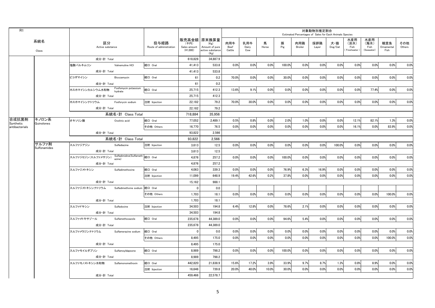| R1                 |                       |                                                    |                                 |                                 |                                  |                                                                   |                       |                     |            |          | Estimated Percentages of Sales for Each Animals Species | 対象動物別推定割合    |                                    |                                     |                                   |                           |               |
|--------------------|-----------------------|----------------------------------------------------|---------------------------------|---------------------------------|----------------------------------|-------------------------------------------------------------------|-----------------------|---------------------|------------|----------|---------------------------------------------------------|--------------|------------------------------------|-------------------------------------|-----------------------------------|---------------------------|---------------|
|                    | 系統名<br>Class          | 区分<br>Active substance                             |                                 | 投与経路<br>Route of administration | (千円)<br>Sales amount<br>(41,000) | 販売高金額 原末換算量<br>(Kg)<br>Amount of pure<br>active substance<br>(Kg) | 肉用牛<br>Beef<br>Cattle | 乳用牛<br>Dairy<br>Cow | 馬<br>Horse | 豚<br>Pig | 肉用鶏<br>Broiler                                          | 採卵鶏<br>Layer | 犬・猫<br>$\mathsf{Dog}/\mathsf{Cat}$ | 水産用<br>(淡水)<br>Fish<br>(Freshwater) | 水産用<br>(海水)<br>Fish<br>(Seawater) | 観賞魚<br>Ornamental<br>Fish | その他<br>Others |
|                    |                       | 成分·計 Total                                         |                                 |                                 | 618,828                          | 34,887.9                                                          |                       |                     |            |          |                                                         |              |                                    |                                     |                                   |                           |               |
|                    |                       | 塩酸バルネムリン                                           | Valnemuline HCI                 | 経口 Oral                         | 41.413                           | 533.8                                                             | 0.0%                  | 0.0%                | 0.0%       | 100.0%   | 0.0%                                                    | 0.0%         | 0.0%                               | 0.0%                                | 0.0%                              | 0.0%                      | 0.0%          |
|                    |                       | 成分·計 Total                                         |                                 |                                 | 41,413                           | 533.8                                                             |                       |                     |            |          |                                                         |              |                                    |                                     |                                   |                           |               |
|                    |                       | ビコザマイシン                                            | Bicozamycin                     | 経口 Oral                         | 61                               | 0.2                                                               | 70.0%                 | 0.0%                | 0.0%       | 30.0%    | 0.0%                                                    | 0.0%         | 0.0%                               | 0.0%                                | 0.0%                              | 0.0%                      | 0.0%          |
|                    |                       | 成分·計 Total                                         |                                 |                                 | 61                               | 0.2                                                               |                       |                     |            |          |                                                         |              |                                    |                                     |                                   |                           |               |
|                    |                       | ホスホマイシンカルシウム水和物                                    | Fosfomycin potassium<br>hydrate | 経口 Oral                         | 25,715                           | 412.3                                                             | 13.6%                 | 9.1%                | 0.0%       | 0.0%     | 0.0%                                                    | 0.0%         | 0.0%                               | 0.0%                                | 77.4%                             | 0.0%                      | 0.0%          |
|                    |                       | 成分·計 Total                                         |                                 |                                 | 25.715                           | 412.3                                                             |                       |                     |            |          |                                                         |              |                                    |                                     |                                   |                           |               |
|                    |                       | ホスホマイシンナトリウム                                       | Fosforycin sodium               | 注射 Injection                    | 22.182                           | 79.2                                                              | 70.0%                 | 30.0%               | 0.0%       | 0.0%     | 0.0%                                                    | 0.0%         | 0.0%                               | 0.0%                                | 0.0%                              | 0.0%                      | 0.0%          |
|                    |                       | 成分·計 Total                                         |                                 |                                 | 22,182                           | 79.2                                                              |                       |                     |            |          |                                                         |              |                                    |                                     |                                   |                           |               |
|                    |                       |                                                    | 系統名・計 Class Total               |                                 | 718.884                          | 35.956                                                            |                       |                     |            |          |                                                         |              |                                    |                                     |                                   |                           |               |
| 合成抗菌剤<br>Synthetic | キノロン系<br>Quinolones   | オキソリン酸                                             | Oxolinic acid                   | 経口 Oral                         | 77.052                           | 2,489.1                                                           | 0.5%                  | 0.8%                | 0.0%       | 2.0%     | 1.0%                                                    | 0.0%         | 0.0%                               | 12.1%                               | 82.1%                             | 1.3%                      | 0.0%          |
| antibacterials     |                       |                                                    |                                 | その他 Others                      | 16.770                           | 76.5                                                              | 0.0%                  | 0.0%                | 0.0%       | 0.0%     | 0.0%                                                    | 0.0%         | 0.0%                               | 16.1%                               | 0.0%                              | 83.9%                     | 0.0%          |
|                    |                       | 成分·計 Total                                         |                                 |                                 | 93,822                           | 2,566                                                             |                       |                     |            |          |                                                         |              |                                    |                                     |                                   |                           |               |
|                    |                       |                                                    | 系統名·計 Class Total               |                                 | 93,822                           | 2.566                                                             |                       |                     |            |          |                                                         |              |                                    |                                     |                                   |                           |               |
|                    | サルファ剤<br>Sulfonamides | スルファジアジン                                           | Sulfadiazine                    | 注射 Injection                    | 3.613                            | 12.5                                                              | 0.0%                  | 0.0%                | 0.0%       | 0.0%     | 0.0%                                                    | 0.0%         | 100.0%                             | 0.0%                                | 0.0%                              | 0.0%                      | 0.0%          |
|                    |                       | 成分·計 Total                                         |                                 |                                 | 3,613                            | 12.5                                                              |                       |                     |            |          |                                                         |              |                                    |                                     |                                   |                           |               |
|                    |                       | スルファジミジン(スルファメサジン) Sulfadimidine(Sulfameth 経口 Oral |                                 |                                 | 4.876                            | 257.2                                                             | 0.0%                  | 0.0%                | 0.0%       | 100.0%   | 0.0%                                                    | 0.0%         | 0.0%                               | 0.0%                                | 0.0%                              | 0.0%                      | 0.0%          |
|                    |                       | 成分·計 Total                                         |                                 |                                 | 4.876                            | 257.2                                                             |                       |                     |            |          |                                                         |              |                                    |                                     |                                   |                           |               |
|                    |                       | スルファジメトキシン Sulfadimethoxine                        |                                 | 経口 Oral                         | 4.063                            | 339.3                                                             | 0.0%                  | 0.0%                | 0.0%       | 76.9%    | 6.3%                                                    | 16.9%        | 0.0%                               | 0.0%                                | 0.0%                              | 0.0%                      | 0.0%          |
|                    |                       |                                                    |                                 | 注射 Injection                    | 11.099                           | 648.9                                                             | 19.4%                 | 42.6%               | 0.2%       | 37.8%    | 0.0%                                                    | 0.0%         | 0.0%                               | 0.0%                                | 0.0%                              | 0.0%                      | 0.0%          |
|                    |                       | 成分·計 Total                                         |                                 |                                 | 15,162                           | 988.1                                                             |                       |                     |            |          |                                                         |              |                                    |                                     |                                   |                           |               |
|                    |                       | スルファジメトキシンナトリウム Sulfadimethxine sodium             |                                 | 経口 Oral                         | $\mathbf{0}$                     | 0.0                                                               |                       |                     |            |          |                                                         |              |                                    |                                     |                                   |                           |               |
|                    |                       |                                                    |                                 | その他 Others                      | 1.703                            | 18.1                                                              | 0.0%                  | 0.0%                | 0.0%       | 0.0%     | 0.0%                                                    | 0.0%         | 0.0%                               | 0.0%                                | 0.0%                              | 100.0%                    | 0.0%          |
|                    |                       | 成分·計 Total                                         |                                 |                                 | 1.703                            | 18.1                                                              |                       |                     |            |          |                                                         |              |                                    |                                     |                                   |                           |               |
|                    |                       | スルファドキシン                                           | Sulfadoxine                     | 注射 Injection                    | 34.503                           | 194.8                                                             | 6.4%                  | 12.8%               | 0.0%       | 78.6%    | 2.1%                                                    | 0.0%         | 0.0%                               | 0.0%                                | 0.0%                              | 0.0%                      | 0.0%          |
|                    |                       | 成分·計 Total                                         |                                 |                                 | 34,503                           | 194.8                                                             |                       |                     |            |          |                                                         |              |                                    |                                     |                                   |                           |               |
|                    |                       | スルファメトキサゾール                                        | Sulfamethoxazole                | 経口 Oral                         | 235,678                          | 44,389.0                                                          | 0.0%                  | 0.0%                | 0.0%       | 94.6%    | 5.4%                                                    | 0.0%         | 0.0%                               | 0.0%                                | 0.0%                              | 0.0%                      | 0.0%          |
|                    |                       | 成分·計 Total                                         |                                 |                                 | 235,678                          | 44,389.0                                                          |                       |                     |            |          |                                                         |              |                                    |                                     |                                   |                           |               |
|                    |                       | スルファメラジンナトリウム                                      | Sulfamerazine sodium            | 経口 Oral                         | $\overline{\mathbf{0}}$          | 0.0                                                               | 0.0%                  | 0.0%                | 0.0%       | 0.0%     | 0.0%                                                    | 0.0%         | 0.0%                               | 0.0%                                | 0.0%                              | 0.0%                      | 0.0%          |
|                    |                       |                                                    |                                 | その他 Others                      | 8.495                            | 175.0                                                             | 0.0%                  | 0.0%                | 0.0%       | 0.0%     | 0.0%                                                    | 0.0%         | 0.0%                               | 0.0%                                | 0.0%                              | 100.0%                    | 0.0%          |
|                    |                       | 成分·計 Total                                         |                                 |                                 | 8,495                            | 175.0                                                             |                       |                     |            |          |                                                         |              |                                    |                                     |                                   |                           |               |
|                    |                       | スルファモイルダプソン                                        | SulfamoyIdapsone                | 経口 Oral                         | 8.989                            | 798.2                                                             | 0.0%                  | 0.0%                | 0.0%       | 100.0%   | 0.0%                                                    | 0.0%         | 0.0%                               | 0.0%                                | 0.0%                              | 0.0%                      | 0.0%          |
|                    |                       | 成分·計 Total                                         |                                 |                                 | 8.989                            | 798.2                                                             |                       |                     |            |          |                                                         |              |                                    |                                     |                                   |                           |               |
|                    |                       | スルファモノメトキシン水和物                                     | Sulfamonomethoxin               | 経口 Oral                         | 442,820                          | 21,838.9                                                          | 15.6%                 | 17.2%               | 3.9%       | 33.9%    | 9.7%                                                    | 8.7%         | 1.3%                               | 0.8%                                | 8.9%                              | 0.0%                      | 0.0%          |
|                    |                       |                                                    |                                 | 注射 Injection                    | 16.646                           | 739.8                                                             | 20.0%                 | 40.0%               | 10.0%      | 30.0%    | 0.0%                                                    | 0.0%         | 0.0%                               | 0.0%                                | 0.0%                              | 0.0%                      | 0.0%          |
|                    |                       | 成分·計 Total                                         |                                 |                                 | 459.466                          | 22.578.7                                                          |                       |                     |            |          |                                                         |              |                                    |                                     |                                   |                           |               |
|                    |                       |                                                    |                                 |                                 |                                  |                                                                   |                       |                     |            |          |                                                         |              |                                    |                                     |                                   |                           |               |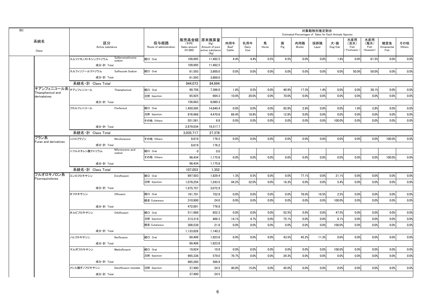|                                           |                   |                        |                              |                                 |                                  |                                                                   |                       |                     |            |          |                | 対象動物別推定割合<br>Estimated Percentages of Sales for Each Animals Species |                                    |                                   |                                   |                           |               |
|-------------------------------------------|-------------------|------------------------|------------------------------|---------------------------------|----------------------------------|-------------------------------------------------------------------|-----------------------|---------------------|------------|----------|----------------|----------------------------------------------------------------------|------------------------------------|-----------------------------------|-----------------------------------|---------------------------|---------------|
| 系統名<br>Class                              |                   | 区分<br>Active substance |                              | 投与経路<br>Route of administration | (千円)<br>Sales amount<br>(41,000) | 販売高金額 原末換算量<br>(Kg)<br>Amount of pure<br>active substance<br>(Kg) | 肉用牛<br>Beef<br>Cattle | 乳用牛<br>Dairy<br>Cow | 馬<br>Horse | 豚<br>Pig | 肉用鶏<br>Broiler | 採卵鶏<br>Layer                                                         | 犬・猫<br>$\mathsf{Dog}/\mathsf{Cat}$ | 水産用<br>(淡水)<br>Fish<br>Freshwater | 水産用<br>(海水)<br>Fish<br>(Seawater) | 観賞魚<br>Ornamental<br>Fish | その他<br>Others |
|                                           | スルファモノメトキシンナトリウム  |                        | Sulfarnomethoxine<br>sodium  | 経口 Oral                         | 109,995                          | 11,482.5                                                          | 4.4%                  | 4.4%                | 0.5%       | 6.5%     | 0.0%           | 0.0%                                                                 | 1.8%                               | 0.8%                              | 81.5%                             | 0.0%                      | 0.0%          |
|                                           |                   | 成分·計 Total             |                              |                                 | 109.995                          | 11.482.5                                                          |                       |                     |            |          |                |                                                                      |                                    |                                   |                                   |                           |               |
|                                           | スルフィソゾールナトリウム     |                        | Sulfisozole Sodium           | 経口 Oral                         | 61,593                           | 3,800.0                                                           | 0.0%                  | 0.0%                | 0.0%       | 0.0%     | 0.0%           | 0.0%                                                                 | 0.0%                               | 50.0%                             | 50.0%                             | 0.0%                      | 0.0%          |
|                                           |                   | 成分·計 Total             |                              |                                 | 61,593                           | 3,800.0                                                           |                       |                     |            |          |                |                                                                      |                                    |                                   |                                   |                           |               |
|                                           | 系統名·計 Class Total |                        |                              |                                 | 944,073                          | 84,694                                                            |                       |                     |            |          |                |                                                                      |                                    |                                   |                                   |                           |               |
| チアンフェニコール系 チアンフェニコール<br>Thiamphenicol and |                   |                        | Thiamphenicol                | 経口 Oral                         | 90.758                           | 7.396.0                                                           | 1.8%                  | 0.5%                | 0.0%       | 40.9%    | 17.3%          | 1.4%                                                                 | 0.0%                               | 0.0%                              | 38.1%                             | 0.0%                      | 0.0%          |
| derivateives                              |                   |                        |                              | 注射 Injection                    | 65,925                           | 664.3                                                             | 10.0%                 | 20.0%               | 0.0%       | 70.0%    | 0.0%           | 0.0%                                                                 | 0.0%                               | 0.0%                              | 0.0%                              | 0.0%                      | 0.0%          |
|                                           |                   | 成分·計 Total             |                              |                                 | 156,683                          | 8,060.3                                                           |                       |                     |            |          |                |                                                                      |                                    |                                   |                                   |                           |               |
|                                           | フロルフェニコール         |                        | Florfenicol                  | 経口 Oral                         | 1.450.505                        | 14.840.4                                                          | 0.0%                  | 0.0%                | 0.0%       | 92.8%    | 2.8%           | 0.0%                                                                 | 0.0%                               | 1.6%                              | 2.8%                              | 0.0%                      | 0.0%          |
|                                           |                   |                        |                              | 注射 Injection                    | 876,968                          | 4,470.6                                                           | 68.4%                 | 18.8%               | 0.0%       | 12.8%    | 0.0%           | 0.0%                                                                 | 0.0%                               | 0.0%                              | 0.0%                              | 0.0%                      | 0.0%          |
|                                           |                   |                        |                              | その他 Others                      | 551,561                          | 6.8                                                               | 0.0%                  | 0.0%                | 0.0%       | 0.0%     | 0.0%           | 0.0%                                                                 | 100.0%                             | 0.0%                              | 0.0%                              | 0.0%                      | 0.0%          |
|                                           |                   | 成分·計 Total             |                              |                                 | 2,879,034                        | 19,317.7                                                          |                       |                     |            |          |                |                                                                      |                                    |                                   |                                   |                           |               |
|                                           | 系統名·計 Class Total |                        |                              |                                 | 3,035,717                        | 27,378                                                            |                       |                     |            |          |                |                                                                      |                                    |                                   |                                   |                           |               |
| フラン系<br>Furan and derivatives             | ニトロフラゾン           |                        | Nitrofurazone                | その他 Others                      | 8,619                            | 176.2                                                             | 0.0%                  | 0.0%                | 0.0%       | 0.0%     | 0.0%           | 0.0%                                                                 | 0.0%                               | 0.0%                              | 0.0%                              | 100.0%                    | 0.0%          |
|                                           |                   | 成分·計 Total             |                              |                                 | 8.619                            | 176.2                                                             |                       |                     |            |          |                |                                                                      |                                    |                                   |                                   |                           |               |
|                                           | ニフルスチレン酸ナトリウム     |                        | Nifurstyrenic acid<br>sodium | 経口 Oral                         | $\mathbf{0}$                     | 0.0                                                               |                       |                     |            |          |                |                                                                      |                                    |                                   |                                   |                           |               |
|                                           |                   |                        |                              | その他 Others                      | 98,434                           | 1,175.6                                                           | 0.0%                  | 0.0%                | 0.0%       | 0.0%     | 0.0%           | 0.0%                                                                 | 0.0%                               | 0.0%                              | 0.0%                              | 100.0%                    | 0.0%          |
|                                           |                   | 成分·計 Total             |                              |                                 | 98.434                           | 1,175.6                                                           |                       |                     |            |          |                |                                                                      |                                    |                                   |                                   |                           |               |
|                                           | 系統名·計 Class Total |                        |                              |                                 | 107,053                          | 1,352                                                             |                       |                     |            |          |                |                                                                      |                                    |                                   |                                   |                           |               |
| フルオロキノロン系<br>Fluoroguinolones             | エンロフロキサシン         |                        | Enrofloxacin                 | 経口 Oral                         | 897,503                          | 1,829.4                                                           | 1.3%                  | 0.5%                | 0.0%       | 0.0%     | 77.1%          | 0.0%                                                                 | 21.1%                              | 0.0%                              | 0.0%                              | 0.0%                      | 0.0%          |
|                                           |                   |                        |                              | 注射 Injection                    | 1,078,254                        | 1,243.5                                                           | 44.2%                 | 32.0%               | 0.0%       | 18.3%    | 0.0%           | 0.0%                                                                 | 5.4%                               | 0.0%                              | 0.0%                              | 0.0%                      | 0.0%          |
|                                           |                   | 成分·計 Total             |                              |                                 | 1,975,757                        | 3,072.9                                                           |                       |                     |            |          |                |                                                                      |                                    |                                   |                                   |                           |               |
|                                           | オフロキサシン           |                        | Ofloxacin                    | 経口 Oral                         | 161,791                          | 752.8                                                             | 0.0%                  | 0.0%                | 0.0%       | 0.0%     | 78.0%          | 19.5%                                                                | 2.5%                               | 0.0%                              | 0.0%                              | 0.0%                      | 0.0%          |
|                                           |                   |                        |                              | 経皮 Cutaneous                    | 310,900                          | 24.0                                                              | 0.0%                  | 0.0%                | 0.0%       | 0.0%     | 0.0%           | 0.0%                                                                 | 100.0%                             | 0.0%                              | 0.0%                              | 0.0%                      | 0.0%          |
|                                           |                   | 成分·計 Total             |                              |                                 | 472.691                          | 776.8                                                             |                       |                     |            |          |                |                                                                      |                                    |                                   |                                   |                           |               |
|                                           | オルビフロキサシン         |                        | Orbifloxacin                 | 経口 Oral                         | 511,968                          | 652.3                                                             | 0.0%                  | 0.0%                | 0.0%       | 52.5%    | 0.0%           | 0.0%                                                                 | 47.5%                              | 0.0%                              | 0.0%                              | 0.0%                      | 0.0%          |
|                                           |                   |                        |                              | 注射 Injection                    | 313,319                          | 466.3                                                             | 14.1%                 | 4.7%                | 0.0%       | 75.1%    | 0.0%           | 0.0%                                                                 | 6.1%                               | 0.0%                              | 0.0%                              | 0.0%                      | 0.0%          |
|                                           |                   |                        |                              | 経皮 Cutaneous                    | 308,539                          | 21.6                                                              | 0.0%                  | 0.0%                | 0.0%       | 0.0%     | 0.0%           | 0.0%                                                                 | 100.0%                             | 0.0%                              | 0.0%                              | 0.0%                      | 0.0%          |
|                                           |                   | 成分·計 Total             |                              |                                 | 1,133,826                        | 1,140.2                                                           |                       |                     |            |          |                |                                                                      |                                    |                                   |                                   |                           |               |
|                                           | ノルフロキサシン          |                        | Norfloxacin                  | 経口 Oral                         | 69,406                           | 1,923.6                                                           | 0.0%                  | 0.0%                | 0.0%       | 43.5%    | 45.2%          | 11.3%                                                                | 0.0%                               | 0.0%                              | 0.0%                              | 0.0%                      | 0.0%          |
|                                           |                   | 成分·計 Total             |                              |                                 | 69.406                           | 1.923.6                                                           |                       |                     |            |          |                |                                                                      |                                    |                                   |                                   |                           |               |
|                                           | マルボフロキサシン         |                        | Marbofloxacin                | 経口 Oral                         | 19,924                           | 10.9                                                              | 0.0%                  | 0.0%                | 0.0%       | 0.0%     | 0.0%           | 0.0%                                                                 | 100.0%                             | 0.0%                              | 0.0%                              | 0.0%                      | 0.0%          |
|                                           |                   |                        |                              | 注射 Injection                    | 965,336                          | 579.0                                                             | 70.7%                 | 0.0%                | 0.0%       | 29.3%    | 0.0%           | 0.0%                                                                 | 0.0%                               | 0.0%                              | 0.0%                              | 0.0%                      | 0.0%          |
|                                           |                   | 成分·計 Total             |                              |                                 | 985.260                          | 589.9                                                             |                       |                     |            |          |                |                                                                      |                                    |                                   |                                   |                           |               |
|                                           | メシル酸ダノフロキサシン      |                        | Danofloxacin mesilate        | 注射 Injection                    | 37,490                           | 24.5                                                              | 40.0%                 | 15.0%               | 0.0%       | 45.0%    | 0.0%           | 0.0%                                                                 | 0.0%                               | 0.0%                              | 0.0%                              | 0.0%                      | 0.0%          |
|                                           |                   | 成分·計 Total             |                              |                                 | 37.490                           | 24.5                                                              |                       |                     |            |          |                |                                                                      |                                    |                                   |                                   |                           |               |
|                                           |                   |                        |                              |                                 |                                  |                                                                   |                       |                     |            |          |                |                                                                      |                                    |                                   |                                   |                           |               |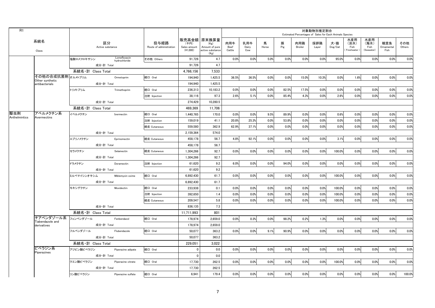| 販売高金額 原末換算量<br>水産用<br>水産用<br>系統名<br>区分<br>投与経路<br>乳用牛<br>肉用牛<br>馬<br>豚<br>肉用鶏<br>採卵鶏<br>(淡水)<br>(海水)<br>観賞魚<br>その他<br>(千円)<br>犬・猫<br>(Kg)<br>Pig<br>Active substance<br>Route of administration<br>Amount of pure<br>$\mathsf{Dog}/\mathsf{Cat}$<br>Fish<br>Sales amount<br>Beef<br>Dairy<br>Horse<br>Broiler<br>Fish<br>Ornamental<br>Others<br>Layer<br>(41.000)<br>active substance<br>Cattle<br>Cow<br>Freshwater<br>(Seawater)<br>Fish<br>Class<br>(Kg)<br>Lomefloxacin<br>0.0%<br>0.0%<br>91,726<br>4.7<br>0.0%<br>5.0%<br>0.0%<br>0.0%<br>95.0%<br>0.0%<br>0.0%<br>0.0%<br>塩酸ロメフロキサシン<br>その他 Others<br>hydrochloride<br>成分·計 Total<br>91.726<br>4.7<br>系統名·計 Class Total<br>4,766,156<br>7.533<br>その他の合成抗菌剤オルメトプリム<br>36.5%<br>36.5%<br>0.0%<br>0.0%<br>15.0%<br>10.3%<br>0.0%<br>1.6%<br>0.0%<br>0.0%<br>経口 Oral<br>1,425.5<br>194,940<br>Ormetoprim<br>Other synthetic<br>成分·計 Total<br>194.940<br>1.425.5<br>antibacterials<br>経口 Oral<br>17.5%<br>トリメトプリム<br>236.313<br>10.183.2<br>0.0%<br>0.0%<br>0.0%<br>82.5%<br>0.0%<br>0.0%<br>0.0%<br>0.0%<br>0.0%<br>Trimethoprim<br>2.6%<br>85.4%<br>4.3%<br>0.0%<br>0.0%<br>38,116<br>97.3<br>5.1%<br>0.0%<br>0.0%<br>2.6%<br>0.0%<br>注射 Injection<br>成分·計 Total<br>274.429<br>10.280.5<br>系統名·計 Class Total<br>469,369<br>11,706<br>アベルメクチン系<br>0.0%<br>0.0%<br>9.5%<br>89.9%<br>0.0%<br>0.6%<br>0.0%<br>0.0%<br>0.0%<br>経口 Oral<br>1,440,765<br>170.0<br>0.0%<br>イベルメクチン<br>Ivermectin<br>Anthelmintics<br>Avermectins<br>20.8%<br>25.3%<br>53.8%<br>0.0%<br>0.0%<br>0.0%<br>0.0%<br>注射 Injection<br>159,019<br>41.1<br>0.0%<br>0.0%<br>0.0%<br>37.1%<br>0.0%<br>0.0%<br>0.0%<br>0.0%<br>0.0%<br>559,580<br>362.9<br>62.9%<br>0.0%<br>0.0%<br>0.0%<br>経皮 Cutaneous<br>成分·計 Total<br>2.159.364<br>574.0<br>0.0%<br>56.7<br>4.8%<br>92.1%<br>0.0%<br>0.0%<br>0.0%<br>3.1%<br>0.0%<br>0.0%<br>0.0%<br>エプリノメクチン<br>経皮 Cutaneous<br>458,178<br>Eprinomectin<br>成分·計 Total<br>458,178<br>56.7<br>0.0%<br>0.0%<br>92.7<br>0.0%<br>0.0%<br>0.0%<br>0.0%<br>0.0%<br>0.0%<br>100.0%<br>0.0%<br>セラメクチン<br>経皮 Cutaneous<br>1.304.266<br>Selamectin<br>92.7<br>成分·計 Total<br>1,304,266<br>注射 Injection<br>9.2<br>6.0%<br>0.0%<br>0.0%<br>94.0%<br>0.0%<br>0.0%<br>0.0%<br>0.0%<br>0.0%<br>0.0%<br>ドラメクチン<br>61,620<br>Doramectin<br>成分·計 Total<br>61.620<br>9.2<br>0.0%<br>61.7<br>0.0%<br>0.0%<br>0.0%<br>0.0%<br>0.0%<br>0.0%<br>100.0%<br>0.0%<br>0.0%<br>ミルベマイシンオキシム<br>Miblemycin oxime<br>経口 Oral<br>6,892,430<br>61.7<br>成分·計 Total<br>6,892,430<br>モキシデクチン<br>経口 Oral<br>0.1<br>0.0%<br>0.0%<br>0.0%<br>0.0%<br>Moxidectin<br>233.938<br>0.0%<br>0.0%<br>0.0%<br>0.0%<br>100.0%<br>0.0%<br>392,650<br>1.4<br>0.0%<br>0.0%<br>0.0%<br>0.0%<br>100.0%<br>0.0%<br>0.0%<br>0.0%<br>注射 Injection<br>0.0%<br>0.0%<br>5.8<br>0.0%<br>0.0%<br>100.0%<br>0.0%<br>209,547<br>0.0%<br>0.0%<br>0.0%<br>0.0%<br>0.0%<br>0.0%<br>経皮 Cutaneous<br>成分·計 Total<br>7.3<br>836,135<br>系統名·計 Class Total<br>11,711,993<br>801<br>チアベンダゾール系 フェンベンダゾール<br>178,974<br>2,659.0<br>0.0%<br>0.3%<br>0.0%<br>98.2%<br>0.2%<br>1.3%<br>0.0%<br>0.0%<br>0.0%<br>0.0%<br>経口 Oral<br>Fenbendazol<br>Tiabendazole and<br>成分·計 Total<br>178,974<br>2,659.0<br>derivatives<br>経口 Oral<br>フルベンダゾール<br>Flubendazole<br>50,077<br>363.2<br>0.0%<br>0.0%<br>9.1%<br>90.9%<br>0.0%<br>0.0%<br>0.0%<br>0.0%<br>0.0%<br>0.0%<br>50,077<br>363.2<br>成分·計 Total<br>系統名・計 Class Total<br>229,051<br>3,022<br>ピペラジン系<br>アジピン酸ピペラジン<br>経口 Oral<br>0.0<br>0.0%<br>0.0%<br>0.0%<br>0.0%<br>0.0%<br>0.0%<br>0.0%<br>0.0%<br>0.0%<br>0.0%<br>Piperazine adipate<br>$\mathbf{0}$<br>Piperazines<br>$\mathbf{0}$<br>0.0<br>成分·計 Total<br>0.0%<br>0.0%<br>0.0%<br>クエン酸ピペラジン<br>経口 Oral<br>17,730<br>262.5<br>0.0%<br>0.0%<br>0.0%<br>0.0%<br>0.0%<br>100.0%<br>0.0%<br>Piperazine citrate<br>262.5<br>成分·計 Total<br>17.730<br>リン酸ピペラジン<br>179.4<br>0.0%<br>0.0%<br>0.0%<br>0.0%<br>0.0%<br>0.0%<br>0.0%<br>0.0%<br>0.0%<br>0.0%<br>経口 Oral<br>6,941<br>Piperazine sulfate | R1  |  |  |  |  |  |  | 対象動物別推定割合<br>Estimated Percentages of Sales for Each Animals Species |  |  |      |
|------------------------------------------------------------------------------------------------------------------------------------------------------------------------------------------------------------------------------------------------------------------------------------------------------------------------------------------------------------------------------------------------------------------------------------------------------------------------------------------------------------------------------------------------------------------------------------------------------------------------------------------------------------------------------------------------------------------------------------------------------------------------------------------------------------------------------------------------------------------------------------------------------------------------------------------------------------------------------------------------------------------------------------------------------------------------------------------------------------------------------------------------------------------------------------------------------------------------------------------------------------------------------------------------------------------------------------------------------------------------------------------------------------------------------------------------------------------------------------------------------------------------------------------------------------------------------------------------------------------------------------------------------------------------------------------------------------------------------------------------------------------------------------------------------------------------------------------------------------------------------------------------------------------------------------------------------------------------------------------------------------------------------------------------------------------------------------------------------------------------------------------------------------------------------------------------------------------------------------------------------------------------------------------------------------------------------------------------------------------------------------------------------------------------------------------------------------------------------------------------------------------------------------------------------------------------------------------------------------------------------------------------------------------------------------------------------------------------------------------------------------------------------------------------------------------------------------------------------------------------------------------------------------------------------------------------------------------------------------------------------------------------------------------------------------------------------------------------------------------------------------------------------------------------------------------------------------------------------------------------------------------------------------------------------------------------------------------------------------------------------------------------------------------------------------------------------------------------------------------------------------------------------------------------------------------------------------------------------------------------------------------------------------------------------------------------------------------------------------------------------------------------------------------------------------------------------------------------------------------------------------------------------------------------------------------------------------------------|-----|--|--|--|--|--|--|----------------------------------------------------------------------|--|--|------|
| 0.0%<br>0.0%<br>0.0%<br>0.0%<br>0.0%<br>0.0%<br>0.0%<br>0.0%<br>0.0%<br>0.0%<br>0.0%<br>0.0%<br>0.0%<br>0.0%<br>0.0%<br>0.0%<br>0.0%<br>100.0%                                                                                                                                                                                                                                                                                                                                                                                                                                                                                                                                                                                                                                                                                                                                                                                                                                                                                                                                                                                                                                                                                                                                                                                                                                                                                                                                                                                                                                                                                                                                                                                                                                                                                                                                                                                                                                                                                                                                                                                                                                                                                                                                                                                                                                                                                                                                                                                                                                                                                                                                                                                                                                                                                                                                                                                                                                                                                                                                                                                                                                                                                                                                                                                                                                                                                                                                                                                                                                                                                                                                                                                                                                                                                                                                                                                                                         |     |  |  |  |  |  |  |                                                                      |  |  |      |
|                                                                                                                                                                                                                                                                                                                                                                                                                                                                                                                                                                                                                                                                                                                                                                                                                                                                                                                                                                                                                                                                                                                                                                                                                                                                                                                                                                                                                                                                                                                                                                                                                                                                                                                                                                                                                                                                                                                                                                                                                                                                                                                                                                                                                                                                                                                                                                                                                                                                                                                                                                                                                                                                                                                                                                                                                                                                                                                                                                                                                                                                                                                                                                                                                                                                                                                                                                                                                                                                                                                                                                                                                                                                                                                                                                                                                                                                                                                                                                        |     |  |  |  |  |  |  |                                                                      |  |  |      |
|                                                                                                                                                                                                                                                                                                                                                                                                                                                                                                                                                                                                                                                                                                                                                                                                                                                                                                                                                                                                                                                                                                                                                                                                                                                                                                                                                                                                                                                                                                                                                                                                                                                                                                                                                                                                                                                                                                                                                                                                                                                                                                                                                                                                                                                                                                                                                                                                                                                                                                                                                                                                                                                                                                                                                                                                                                                                                                                                                                                                                                                                                                                                                                                                                                                                                                                                                                                                                                                                                                                                                                                                                                                                                                                                                                                                                                                                                                                                                                        |     |  |  |  |  |  |  |                                                                      |  |  |      |
|                                                                                                                                                                                                                                                                                                                                                                                                                                                                                                                                                                                                                                                                                                                                                                                                                                                                                                                                                                                                                                                                                                                                                                                                                                                                                                                                                                                                                                                                                                                                                                                                                                                                                                                                                                                                                                                                                                                                                                                                                                                                                                                                                                                                                                                                                                                                                                                                                                                                                                                                                                                                                                                                                                                                                                                                                                                                                                                                                                                                                                                                                                                                                                                                                                                                                                                                                                                                                                                                                                                                                                                                                                                                                                                                                                                                                                                                                                                                                                        |     |  |  |  |  |  |  |                                                                      |  |  |      |
|                                                                                                                                                                                                                                                                                                                                                                                                                                                                                                                                                                                                                                                                                                                                                                                                                                                                                                                                                                                                                                                                                                                                                                                                                                                                                                                                                                                                                                                                                                                                                                                                                                                                                                                                                                                                                                                                                                                                                                                                                                                                                                                                                                                                                                                                                                                                                                                                                                                                                                                                                                                                                                                                                                                                                                                                                                                                                                                                                                                                                                                                                                                                                                                                                                                                                                                                                                                                                                                                                                                                                                                                                                                                                                                                                                                                                                                                                                                                                                        |     |  |  |  |  |  |  |                                                                      |  |  |      |
|                                                                                                                                                                                                                                                                                                                                                                                                                                                                                                                                                                                                                                                                                                                                                                                                                                                                                                                                                                                                                                                                                                                                                                                                                                                                                                                                                                                                                                                                                                                                                                                                                                                                                                                                                                                                                                                                                                                                                                                                                                                                                                                                                                                                                                                                                                                                                                                                                                                                                                                                                                                                                                                                                                                                                                                                                                                                                                                                                                                                                                                                                                                                                                                                                                                                                                                                                                                                                                                                                                                                                                                                                                                                                                                                                                                                                                                                                                                                                                        |     |  |  |  |  |  |  |                                                                      |  |  |      |
|                                                                                                                                                                                                                                                                                                                                                                                                                                                                                                                                                                                                                                                                                                                                                                                                                                                                                                                                                                                                                                                                                                                                                                                                                                                                                                                                                                                                                                                                                                                                                                                                                                                                                                                                                                                                                                                                                                                                                                                                                                                                                                                                                                                                                                                                                                                                                                                                                                                                                                                                                                                                                                                                                                                                                                                                                                                                                                                                                                                                                                                                                                                                                                                                                                                                                                                                                                                                                                                                                                                                                                                                                                                                                                                                                                                                                                                                                                                                                                        |     |  |  |  |  |  |  |                                                                      |  |  |      |
|                                                                                                                                                                                                                                                                                                                                                                                                                                                                                                                                                                                                                                                                                                                                                                                                                                                                                                                                                                                                                                                                                                                                                                                                                                                                                                                                                                                                                                                                                                                                                                                                                                                                                                                                                                                                                                                                                                                                                                                                                                                                                                                                                                                                                                                                                                                                                                                                                                                                                                                                                                                                                                                                                                                                                                                                                                                                                                                                                                                                                                                                                                                                                                                                                                                                                                                                                                                                                                                                                                                                                                                                                                                                                                                                                                                                                                                                                                                                                                        |     |  |  |  |  |  |  |                                                                      |  |  |      |
|                                                                                                                                                                                                                                                                                                                                                                                                                                                                                                                                                                                                                                                                                                                                                                                                                                                                                                                                                                                                                                                                                                                                                                                                                                                                                                                                                                                                                                                                                                                                                                                                                                                                                                                                                                                                                                                                                                                                                                                                                                                                                                                                                                                                                                                                                                                                                                                                                                                                                                                                                                                                                                                                                                                                                                                                                                                                                                                                                                                                                                                                                                                                                                                                                                                                                                                                                                                                                                                                                                                                                                                                                                                                                                                                                                                                                                                                                                                                                                        |     |  |  |  |  |  |  |                                                                      |  |  |      |
|                                                                                                                                                                                                                                                                                                                                                                                                                                                                                                                                                                                                                                                                                                                                                                                                                                                                                                                                                                                                                                                                                                                                                                                                                                                                                                                                                                                                                                                                                                                                                                                                                                                                                                                                                                                                                                                                                                                                                                                                                                                                                                                                                                                                                                                                                                                                                                                                                                                                                                                                                                                                                                                                                                                                                                                                                                                                                                                                                                                                                                                                                                                                                                                                                                                                                                                                                                                                                                                                                                                                                                                                                                                                                                                                                                                                                                                                                                                                                                        |     |  |  |  |  |  |  |                                                                      |  |  |      |
|                                                                                                                                                                                                                                                                                                                                                                                                                                                                                                                                                                                                                                                                                                                                                                                                                                                                                                                                                                                                                                                                                                                                                                                                                                                                                                                                                                                                                                                                                                                                                                                                                                                                                                                                                                                                                                                                                                                                                                                                                                                                                                                                                                                                                                                                                                                                                                                                                                                                                                                                                                                                                                                                                                                                                                                                                                                                                                                                                                                                                                                                                                                                                                                                                                                                                                                                                                                                                                                                                                                                                                                                                                                                                                                                                                                                                                                                                                                                                                        | 駆虫剤 |  |  |  |  |  |  |                                                                      |  |  |      |
|                                                                                                                                                                                                                                                                                                                                                                                                                                                                                                                                                                                                                                                                                                                                                                                                                                                                                                                                                                                                                                                                                                                                                                                                                                                                                                                                                                                                                                                                                                                                                                                                                                                                                                                                                                                                                                                                                                                                                                                                                                                                                                                                                                                                                                                                                                                                                                                                                                                                                                                                                                                                                                                                                                                                                                                                                                                                                                                                                                                                                                                                                                                                                                                                                                                                                                                                                                                                                                                                                                                                                                                                                                                                                                                                                                                                                                                                                                                                                                        |     |  |  |  |  |  |  |                                                                      |  |  |      |
|                                                                                                                                                                                                                                                                                                                                                                                                                                                                                                                                                                                                                                                                                                                                                                                                                                                                                                                                                                                                                                                                                                                                                                                                                                                                                                                                                                                                                                                                                                                                                                                                                                                                                                                                                                                                                                                                                                                                                                                                                                                                                                                                                                                                                                                                                                                                                                                                                                                                                                                                                                                                                                                                                                                                                                                                                                                                                                                                                                                                                                                                                                                                                                                                                                                                                                                                                                                                                                                                                                                                                                                                                                                                                                                                                                                                                                                                                                                                                                        |     |  |  |  |  |  |  |                                                                      |  |  |      |
|                                                                                                                                                                                                                                                                                                                                                                                                                                                                                                                                                                                                                                                                                                                                                                                                                                                                                                                                                                                                                                                                                                                                                                                                                                                                                                                                                                                                                                                                                                                                                                                                                                                                                                                                                                                                                                                                                                                                                                                                                                                                                                                                                                                                                                                                                                                                                                                                                                                                                                                                                                                                                                                                                                                                                                                                                                                                                                                                                                                                                                                                                                                                                                                                                                                                                                                                                                                                                                                                                                                                                                                                                                                                                                                                                                                                                                                                                                                                                                        |     |  |  |  |  |  |  |                                                                      |  |  |      |
|                                                                                                                                                                                                                                                                                                                                                                                                                                                                                                                                                                                                                                                                                                                                                                                                                                                                                                                                                                                                                                                                                                                                                                                                                                                                                                                                                                                                                                                                                                                                                                                                                                                                                                                                                                                                                                                                                                                                                                                                                                                                                                                                                                                                                                                                                                                                                                                                                                                                                                                                                                                                                                                                                                                                                                                                                                                                                                                                                                                                                                                                                                                                                                                                                                                                                                                                                                                                                                                                                                                                                                                                                                                                                                                                                                                                                                                                                                                                                                        |     |  |  |  |  |  |  |                                                                      |  |  |      |
|                                                                                                                                                                                                                                                                                                                                                                                                                                                                                                                                                                                                                                                                                                                                                                                                                                                                                                                                                                                                                                                                                                                                                                                                                                                                                                                                                                                                                                                                                                                                                                                                                                                                                                                                                                                                                                                                                                                                                                                                                                                                                                                                                                                                                                                                                                                                                                                                                                                                                                                                                                                                                                                                                                                                                                                                                                                                                                                                                                                                                                                                                                                                                                                                                                                                                                                                                                                                                                                                                                                                                                                                                                                                                                                                                                                                                                                                                                                                                                        |     |  |  |  |  |  |  |                                                                      |  |  |      |
|                                                                                                                                                                                                                                                                                                                                                                                                                                                                                                                                                                                                                                                                                                                                                                                                                                                                                                                                                                                                                                                                                                                                                                                                                                                                                                                                                                                                                                                                                                                                                                                                                                                                                                                                                                                                                                                                                                                                                                                                                                                                                                                                                                                                                                                                                                                                                                                                                                                                                                                                                                                                                                                                                                                                                                                                                                                                                                                                                                                                                                                                                                                                                                                                                                                                                                                                                                                                                                                                                                                                                                                                                                                                                                                                                                                                                                                                                                                                                                        |     |  |  |  |  |  |  |                                                                      |  |  |      |
|                                                                                                                                                                                                                                                                                                                                                                                                                                                                                                                                                                                                                                                                                                                                                                                                                                                                                                                                                                                                                                                                                                                                                                                                                                                                                                                                                                                                                                                                                                                                                                                                                                                                                                                                                                                                                                                                                                                                                                                                                                                                                                                                                                                                                                                                                                                                                                                                                                                                                                                                                                                                                                                                                                                                                                                                                                                                                                                                                                                                                                                                                                                                                                                                                                                                                                                                                                                                                                                                                                                                                                                                                                                                                                                                                                                                                                                                                                                                                                        |     |  |  |  |  |  |  |                                                                      |  |  |      |
|                                                                                                                                                                                                                                                                                                                                                                                                                                                                                                                                                                                                                                                                                                                                                                                                                                                                                                                                                                                                                                                                                                                                                                                                                                                                                                                                                                                                                                                                                                                                                                                                                                                                                                                                                                                                                                                                                                                                                                                                                                                                                                                                                                                                                                                                                                                                                                                                                                                                                                                                                                                                                                                                                                                                                                                                                                                                                                                                                                                                                                                                                                                                                                                                                                                                                                                                                                                                                                                                                                                                                                                                                                                                                                                                                                                                                                                                                                                                                                        |     |  |  |  |  |  |  |                                                                      |  |  |      |
|                                                                                                                                                                                                                                                                                                                                                                                                                                                                                                                                                                                                                                                                                                                                                                                                                                                                                                                                                                                                                                                                                                                                                                                                                                                                                                                                                                                                                                                                                                                                                                                                                                                                                                                                                                                                                                                                                                                                                                                                                                                                                                                                                                                                                                                                                                                                                                                                                                                                                                                                                                                                                                                                                                                                                                                                                                                                                                                                                                                                                                                                                                                                                                                                                                                                                                                                                                                                                                                                                                                                                                                                                                                                                                                                                                                                                                                                                                                                                                        |     |  |  |  |  |  |  |                                                                      |  |  |      |
|                                                                                                                                                                                                                                                                                                                                                                                                                                                                                                                                                                                                                                                                                                                                                                                                                                                                                                                                                                                                                                                                                                                                                                                                                                                                                                                                                                                                                                                                                                                                                                                                                                                                                                                                                                                                                                                                                                                                                                                                                                                                                                                                                                                                                                                                                                                                                                                                                                                                                                                                                                                                                                                                                                                                                                                                                                                                                                                                                                                                                                                                                                                                                                                                                                                                                                                                                                                                                                                                                                                                                                                                                                                                                                                                                                                                                                                                                                                                                                        |     |  |  |  |  |  |  |                                                                      |  |  |      |
|                                                                                                                                                                                                                                                                                                                                                                                                                                                                                                                                                                                                                                                                                                                                                                                                                                                                                                                                                                                                                                                                                                                                                                                                                                                                                                                                                                                                                                                                                                                                                                                                                                                                                                                                                                                                                                                                                                                                                                                                                                                                                                                                                                                                                                                                                                                                                                                                                                                                                                                                                                                                                                                                                                                                                                                                                                                                                                                                                                                                                                                                                                                                                                                                                                                                                                                                                                                                                                                                                                                                                                                                                                                                                                                                                                                                                                                                                                                                                                        |     |  |  |  |  |  |  |                                                                      |  |  |      |
|                                                                                                                                                                                                                                                                                                                                                                                                                                                                                                                                                                                                                                                                                                                                                                                                                                                                                                                                                                                                                                                                                                                                                                                                                                                                                                                                                                                                                                                                                                                                                                                                                                                                                                                                                                                                                                                                                                                                                                                                                                                                                                                                                                                                                                                                                                                                                                                                                                                                                                                                                                                                                                                                                                                                                                                                                                                                                                                                                                                                                                                                                                                                                                                                                                                                                                                                                                                                                                                                                                                                                                                                                                                                                                                                                                                                                                                                                                                                                                        |     |  |  |  |  |  |  |                                                                      |  |  |      |
|                                                                                                                                                                                                                                                                                                                                                                                                                                                                                                                                                                                                                                                                                                                                                                                                                                                                                                                                                                                                                                                                                                                                                                                                                                                                                                                                                                                                                                                                                                                                                                                                                                                                                                                                                                                                                                                                                                                                                                                                                                                                                                                                                                                                                                                                                                                                                                                                                                                                                                                                                                                                                                                                                                                                                                                                                                                                                                                                                                                                                                                                                                                                                                                                                                                                                                                                                                                                                                                                                                                                                                                                                                                                                                                                                                                                                                                                                                                                                                        |     |  |  |  |  |  |  |                                                                      |  |  |      |
|                                                                                                                                                                                                                                                                                                                                                                                                                                                                                                                                                                                                                                                                                                                                                                                                                                                                                                                                                                                                                                                                                                                                                                                                                                                                                                                                                                                                                                                                                                                                                                                                                                                                                                                                                                                                                                                                                                                                                                                                                                                                                                                                                                                                                                                                                                                                                                                                                                                                                                                                                                                                                                                                                                                                                                                                                                                                                                                                                                                                                                                                                                                                                                                                                                                                                                                                                                                                                                                                                                                                                                                                                                                                                                                                                                                                                                                                                                                                                                        |     |  |  |  |  |  |  |                                                                      |  |  |      |
|                                                                                                                                                                                                                                                                                                                                                                                                                                                                                                                                                                                                                                                                                                                                                                                                                                                                                                                                                                                                                                                                                                                                                                                                                                                                                                                                                                                                                                                                                                                                                                                                                                                                                                                                                                                                                                                                                                                                                                                                                                                                                                                                                                                                                                                                                                                                                                                                                                                                                                                                                                                                                                                                                                                                                                                                                                                                                                                                                                                                                                                                                                                                                                                                                                                                                                                                                                                                                                                                                                                                                                                                                                                                                                                                                                                                                                                                                                                                                                        |     |  |  |  |  |  |  |                                                                      |  |  |      |
|                                                                                                                                                                                                                                                                                                                                                                                                                                                                                                                                                                                                                                                                                                                                                                                                                                                                                                                                                                                                                                                                                                                                                                                                                                                                                                                                                                                                                                                                                                                                                                                                                                                                                                                                                                                                                                                                                                                                                                                                                                                                                                                                                                                                                                                                                                                                                                                                                                                                                                                                                                                                                                                                                                                                                                                                                                                                                                                                                                                                                                                                                                                                                                                                                                                                                                                                                                                                                                                                                                                                                                                                                                                                                                                                                                                                                                                                                                                                                                        |     |  |  |  |  |  |  |                                                                      |  |  |      |
|                                                                                                                                                                                                                                                                                                                                                                                                                                                                                                                                                                                                                                                                                                                                                                                                                                                                                                                                                                                                                                                                                                                                                                                                                                                                                                                                                                                                                                                                                                                                                                                                                                                                                                                                                                                                                                                                                                                                                                                                                                                                                                                                                                                                                                                                                                                                                                                                                                                                                                                                                                                                                                                                                                                                                                                                                                                                                                                                                                                                                                                                                                                                                                                                                                                                                                                                                                                                                                                                                                                                                                                                                                                                                                                                                                                                                                                                                                                                                                        |     |  |  |  |  |  |  |                                                                      |  |  |      |
|                                                                                                                                                                                                                                                                                                                                                                                                                                                                                                                                                                                                                                                                                                                                                                                                                                                                                                                                                                                                                                                                                                                                                                                                                                                                                                                                                                                                                                                                                                                                                                                                                                                                                                                                                                                                                                                                                                                                                                                                                                                                                                                                                                                                                                                                                                                                                                                                                                                                                                                                                                                                                                                                                                                                                                                                                                                                                                                                                                                                                                                                                                                                                                                                                                                                                                                                                                                                                                                                                                                                                                                                                                                                                                                                                                                                                                                                                                                                                                        |     |  |  |  |  |  |  |                                                                      |  |  |      |
|                                                                                                                                                                                                                                                                                                                                                                                                                                                                                                                                                                                                                                                                                                                                                                                                                                                                                                                                                                                                                                                                                                                                                                                                                                                                                                                                                                                                                                                                                                                                                                                                                                                                                                                                                                                                                                                                                                                                                                                                                                                                                                                                                                                                                                                                                                                                                                                                                                                                                                                                                                                                                                                                                                                                                                                                                                                                                                                                                                                                                                                                                                                                                                                                                                                                                                                                                                                                                                                                                                                                                                                                                                                                                                                                                                                                                                                                                                                                                                        |     |  |  |  |  |  |  |                                                                      |  |  |      |
|                                                                                                                                                                                                                                                                                                                                                                                                                                                                                                                                                                                                                                                                                                                                                                                                                                                                                                                                                                                                                                                                                                                                                                                                                                                                                                                                                                                                                                                                                                                                                                                                                                                                                                                                                                                                                                                                                                                                                                                                                                                                                                                                                                                                                                                                                                                                                                                                                                                                                                                                                                                                                                                                                                                                                                                                                                                                                                                                                                                                                                                                                                                                                                                                                                                                                                                                                                                                                                                                                                                                                                                                                                                                                                                                                                                                                                                                                                                                                                        |     |  |  |  |  |  |  |                                                                      |  |  |      |
|                                                                                                                                                                                                                                                                                                                                                                                                                                                                                                                                                                                                                                                                                                                                                                                                                                                                                                                                                                                                                                                                                                                                                                                                                                                                                                                                                                                                                                                                                                                                                                                                                                                                                                                                                                                                                                                                                                                                                                                                                                                                                                                                                                                                                                                                                                                                                                                                                                                                                                                                                                                                                                                                                                                                                                                                                                                                                                                                                                                                                                                                                                                                                                                                                                                                                                                                                                                                                                                                                                                                                                                                                                                                                                                                                                                                                                                                                                                                                                        |     |  |  |  |  |  |  |                                                                      |  |  |      |
|                                                                                                                                                                                                                                                                                                                                                                                                                                                                                                                                                                                                                                                                                                                                                                                                                                                                                                                                                                                                                                                                                                                                                                                                                                                                                                                                                                                                                                                                                                                                                                                                                                                                                                                                                                                                                                                                                                                                                                                                                                                                                                                                                                                                                                                                                                                                                                                                                                                                                                                                                                                                                                                                                                                                                                                                                                                                                                                                                                                                                                                                                                                                                                                                                                                                                                                                                                                                                                                                                                                                                                                                                                                                                                                                                                                                                                                                                                                                                                        |     |  |  |  |  |  |  |                                                                      |  |  |      |
|                                                                                                                                                                                                                                                                                                                                                                                                                                                                                                                                                                                                                                                                                                                                                                                                                                                                                                                                                                                                                                                                                                                                                                                                                                                                                                                                                                                                                                                                                                                                                                                                                                                                                                                                                                                                                                                                                                                                                                                                                                                                                                                                                                                                                                                                                                                                                                                                                                                                                                                                                                                                                                                                                                                                                                                                                                                                                                                                                                                                                                                                                                                                                                                                                                                                                                                                                                                                                                                                                                                                                                                                                                                                                                                                                                                                                                                                                                                                                                        |     |  |  |  |  |  |  |                                                                      |  |  |      |
|                                                                                                                                                                                                                                                                                                                                                                                                                                                                                                                                                                                                                                                                                                                                                                                                                                                                                                                                                                                                                                                                                                                                                                                                                                                                                                                                                                                                                                                                                                                                                                                                                                                                                                                                                                                                                                                                                                                                                                                                                                                                                                                                                                                                                                                                                                                                                                                                                                                                                                                                                                                                                                                                                                                                                                                                                                                                                                                                                                                                                                                                                                                                                                                                                                                                                                                                                                                                                                                                                                                                                                                                                                                                                                                                                                                                                                                                                                                                                                        |     |  |  |  |  |  |  |                                                                      |  |  | 0.0% |
|                                                                                                                                                                                                                                                                                                                                                                                                                                                                                                                                                                                                                                                                                                                                                                                                                                                                                                                                                                                                                                                                                                                                                                                                                                                                                                                                                                                                                                                                                                                                                                                                                                                                                                                                                                                                                                                                                                                                                                                                                                                                                                                                                                                                                                                                                                                                                                                                                                                                                                                                                                                                                                                                                                                                                                                                                                                                                                                                                                                                                                                                                                                                                                                                                                                                                                                                                                                                                                                                                                                                                                                                                                                                                                                                                                                                                                                                                                                                                                        |     |  |  |  |  |  |  |                                                                      |  |  |      |
|                                                                                                                                                                                                                                                                                                                                                                                                                                                                                                                                                                                                                                                                                                                                                                                                                                                                                                                                                                                                                                                                                                                                                                                                                                                                                                                                                                                                                                                                                                                                                                                                                                                                                                                                                                                                                                                                                                                                                                                                                                                                                                                                                                                                                                                                                                                                                                                                                                                                                                                                                                                                                                                                                                                                                                                                                                                                                                                                                                                                                                                                                                                                                                                                                                                                                                                                                                                                                                                                                                                                                                                                                                                                                                                                                                                                                                                                                                                                                                        |     |  |  |  |  |  |  |                                                                      |  |  |      |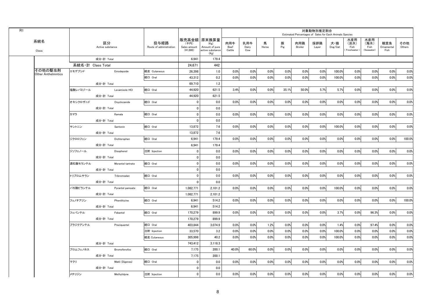| R1 |                                       |                   |                        |                                 |                                    |                                                                   |                              |                     |            |          |                | 対象動物別推定割合<br>Estimated Percentages of Sales for Each Animals Species |                                    |                                     |                                   |                           |               |
|----|---------------------------------------|-------------------|------------------------|---------------------------------|------------------------------------|-------------------------------------------------------------------|------------------------------|---------------------|------------|----------|----------------|----------------------------------------------------------------------|------------------------------------|-------------------------------------|-----------------------------------|---------------------------|---------------|
|    | 系統名<br>Class                          |                   | 区分<br>Active substance | 投与経路<br>Route of administration | (千円)<br>Sales amount<br>$(*1,000)$ | 販売高金額 原末換算量<br>(Kg)<br>Amount of pure<br>active substance<br>(Kg) | 肉用牛<br><b>Beef</b><br>Cattle | 乳用牛<br>Dairy<br>Cow | 馬<br>Horse | 豚<br>Pig | 肉用鶏<br>Broiler | 採卵鶏<br>Layer                                                         | 犬・猫<br>$\mathsf{Dog}/\mathsf{Cat}$ | 水産用<br>(淡水)<br>Fish<br>(Freshwater) | 水産用<br>(海水)<br>Fish<br>(Seawater) | 観賞魚<br>Ornamental<br>Fish | その他<br>Others |
|    |                                       |                   | 成分·計 Total             |                                 | 6.941                              | 179.4                                                             |                              |                     |            |          |                |                                                                      |                                    |                                     |                                   |                           |               |
|    |                                       | 系統名 計 Class Total |                        |                                 | 24,671                             | 442                                                               |                              |                     |            |          |                |                                                                      |                                    |                                     |                                   |                           |               |
|    | その他の駆虫剤<br><b>Other Anthelmintics</b> | エモデプシド            | Emodepside             | 経皮 Cutaneous                    | 26,398                             | 1.0                                                               | 0.0%                         | 0.0%                | 0.0%       | 0.0%     | 0.0%           | 0.0%                                                                 | 100.0%                             | 0.0%                                | 0.0%                              | 0.0%                      | 0.0%          |
|    |                                       |                   |                        | 経口 Oral                         | 43,312                             | 0.2                                                               | 0.0%                         | 0.0%                | 0.0%       | 0.0%     | 0.0%           | 0.0%                                                                 | 100.0%                             | 0.0%                                | 0.0%                              | 0.0%                      | 0.0%          |
|    |                                       |                   | 成分·計 Total             |                                 | 69,710                             | 1.2                                                               |                              |                     |            |          |                |                                                                      |                                    |                                     |                                   |                           |               |
|    |                                       | 塩酸レバミゾール          | Levamisole HCI         | 経口 Oral                         | 44,920                             | 621.5                                                             | 3.4%                         | 0.0%                | 0.0%       | 35.1%    | 50.0%          | 5.7%                                                                 | 5.7%                               | 0.0%                                | 0.0%                              | 0.0%                      | 0.0%          |
|    |                                       |                   | 成分·計 Total             |                                 | 44,920                             | 621.5                                                             |                              |                     |            |          |                |                                                                      |                                    |                                     |                                   |                           |               |
|    |                                       | オキシクロザニド          | Oxyclozanide           | 経口 Oral                         | $\mathbf{0}$                       | 0.0                                                               | 0.0%                         | 0.0%                | 0.0%       | 0.0%     | 0.0%           | 0.0%                                                                 | 0.0%                               | 0.0%                                | 0.0%                              | 0.0%                      | 0.0%          |
|    |                                       |                   | 成分·計 Total             |                                 | $\mathbf 0$                        | 0.0                                                               |                              |                     |            |          |                |                                                                      |                                    |                                     |                                   |                           |               |
|    |                                       | カマラ               | Kamala                 | 経口 Oral                         | $\mathbf 0$                        | 0.0                                                               | 0.0%                         | 0.0%                | 0.0%       | 0.0%     | 0.0%           | 0.0%                                                                 | 0.0%                               | 0.0%                                | 0.0%                              | 0.0%                      | 0.0%          |
|    |                                       |                   | 成分·計 Total             |                                 | $\mathbf{0}$                       | 0.0                                                               |                              |                     |            |          |                |                                                                      |                                    |                                     |                                   |                           |               |
|    |                                       | サントニン             | Santonin               | 経口 Oral                         | 13,872                             | 7.6                                                               | 0.0%                         | 0.0%                | 0.0%       | 0.0%     | 0.0%           | 0.0%                                                                 | 100.0%                             | 0.0%                                | 0.0%                              | 0.0%                      | 0.0%          |
|    |                                       |                   | 成分·計 Total             |                                 | 13,872                             | 7.6                                                               |                              |                     |            |          |                |                                                                      |                                    |                                     |                                   |                           |               |
|    |                                       | ジクロロフェン           | Dichlorophen           | 経口 Oral                         | 6.941                              | 179.4                                                             | 0.0%                         | 0.0%                | 0.0%       | 0.0%     | 0.0%           | 0.0%                                                                 | 0.0%                               | 0.0%                                | 0.0%                              | 0.0%                      | 100.0%        |
|    |                                       |                   | 成分·計 Total             |                                 | 6,941                              | 179.4                                                             |                              |                     |            |          |                |                                                                      |                                    |                                     |                                   |                           |               |
|    |                                       | ジソフェノール           | Disophenol             | 注射 Injection                    | $\mathbf 0$                        | 0.0                                                               | 0.0%                         | 0.0%                | 0.0%       | 0.0%     | 0.0%           | 0.0%                                                                 | 0.0%                               | 0.0%                                | 0.0%                              | 0.0%                      | 0.0%          |
|    |                                       |                   | 成分·計 Total             |                                 | $\mathbf{0}$                       | 0.0                                                               |                              |                     |            |          |                |                                                                      |                                    |                                     |                                   |                           |               |
|    |                                       | 酒石酸モランテル          | Morantel tartrate      | 経口 Oral                         | $\mathbf 0$                        | 0.0                                                               | 0.0%                         | 0.0%                | 0.0%       | 0.0%     | 0.0%           | 0.0%                                                                 | 0.0%                               | 0.0%                                | 0.0%                              | 0.0%                      | 0.0%          |
|    |                                       |                   | 成分·計 Total             |                                 | $\mathbf 0$                        | 0.0                                                               |                              |                     |            |          |                |                                                                      |                                    |                                     |                                   |                           |               |
|    |                                       | トリブロムサラン          | Tribromsalan           | 経口 Oral                         | $\mathbf{0}$                       | 0.0                                                               | 0.0%                         | 0.0%                | 0.0%       | 0.0%     | 0.0%           | 0.0%                                                                 | 0.0%                               | 0.0%                                | 0.0%                              | 0.0%                      | 0.0%          |
|    |                                       |                   | 成分·計 Total             |                                 | $\mathbf 0$                        | 0.0                                                               |                              |                     |            |          |                |                                                                      |                                    |                                     |                                   |                           |               |
|    |                                       | パモ酸ピランテル          | Pyrantel pamoate       | 経口 Oral                         | 1.082.771                          | 2.101.2                                                           | 0.0%                         | 0.0%                | 0.0%       | 0.0%     | 0.0%           | 0.0%                                                                 | 100.0%                             | 0.0%                                | 0.0%                              | 0.0%                      | 0.0%          |
|    |                                       |                   | 成分·計 Total             |                                 | 1.082.771                          | 2.101.2                                                           |                              |                     |            |          |                |                                                                      |                                    |                                     |                                   |                           |               |
|    |                                       | フェノチアジン           | Phenithizine           | 経口 Oral                         | 6,941                              | 514.2                                                             | 0.0%                         | 0.0%                | 0.0%       | 0.0%     | 0.0%           | 0.0%                                                                 | 0.0%                               | 0.0%                                | 0.0%                              | 0.0%                      | 100.0%        |
|    |                                       |                   | 成分·計 Total             |                                 | 6.941                              | 514.2                                                             |                              |                     |            |          |                |                                                                      |                                    |                                     |                                   |                           |               |
|    |                                       | フェバンテル            | Febantel               | 経口 Oral                         | 170.279                            | 899.9                                                             | 0.0%                         | 0.0%                | 0.0%       | 0.0%     | 0.0%           | 0.0%                                                                 | 3.7%                               | 0.0%                                | 96.3%                             | 0.0%                      | 0.0%          |
|    |                                       |                   | 成分·計 Total             |                                 | 170,279                            | 899.9                                                             |                              |                     |            |          |                |                                                                      |                                    |                                     |                                   |                           |               |
|    |                                       | プラジクアンテル          | Praziquantel           | 経口 Oral                         | 403,844                            | 3.074.9                                                           | 0.0%                         | 0.0%                | 1.2%       | 0.0%     | 0.0%           | 0.0%                                                                 | 1.4%                               | 0.0%                                | 97.4%                             | 0.0%                      | 0.0%          |
|    |                                       |                   |                        | 注射 Injection                    | 33,570                             | 3.2                                                               | 0.0%                         | 0.0%                | 0.0%       | 0.0%     | 0.0%           | 0.0%                                                                 | 100.0%                             | 0.0%                                | 0.0%                              | 0.0%                      | 0.0%          |
|    |                                       |                   |                        | 経皮 Cutaneous                    | 305,998                            | 40.2                                                              | 0.0%                         | 0.0%                | 0.0%       | 0.0%     | 0.0%           | 0.0%                                                                 | 100.0%                             | 0.0%                                | 0.0%                              | 0.0%                      | 0.0%          |
|    |                                       |                   | 成分·計 Total             |                                 | 743,412                            | 3,118.3                                                           |                              |                     |            |          |                |                                                                      |                                    |                                     |                                   |                           |               |
|    |                                       | ブロムフェノホス          | <b>Bromofenofos</b>    | 経口 Oral                         | 7,175                              | 200.1                                                             | 40.0%                        | 60.0%               | 0.0%       | 0.0%     | 0.0%           | 0.0%                                                                 | 0.0%                               | 0.0%                                | 0.0%                              | 0.0%                      | 0.0%          |
|    |                                       |                   | 成分·計 Total             |                                 | 7,175                              | 200.1                                                             |                              |                     |            |          |                |                                                                      |                                    |                                     |                                   |                           |               |
|    |                                       | マクリ               | Makli (Digenea)        | 経口 Oral                         | $\mathbf 0$                        | 0.0                                                               | 0.0%                         | 0.0%                | 0.0%       | 0.0%     | 0.0%           | 0.0%                                                                 | 0.0%                               | 0.0%                                | 0.0%                              | 0.0%                      | 0.0%          |
|    |                                       |                   | 成分·計 Total             |                                 | $\mathbf 0$                        | 0.0                                                               |                              |                     |            |          |                |                                                                      |                                    |                                     |                                   |                           |               |
|    |                                       | メチリジン             | Methylidyne            | 注射 Injection                    | $\mathbf{0}$                       | 0.0                                                               | 0.0%                         | 0.0%                | 0.0%       | 0.0%     | 0.0%           | 0.0%                                                                 | 0.0%                               | 0.0%                                | 0.0%                              | 0.0%                      | 0.0%          |
|    |                                       |                   |                        |                                 |                                    |                                                                   |                              |                     |            |          |                |                                                                      |                                    |                                     |                                   |                           |               |